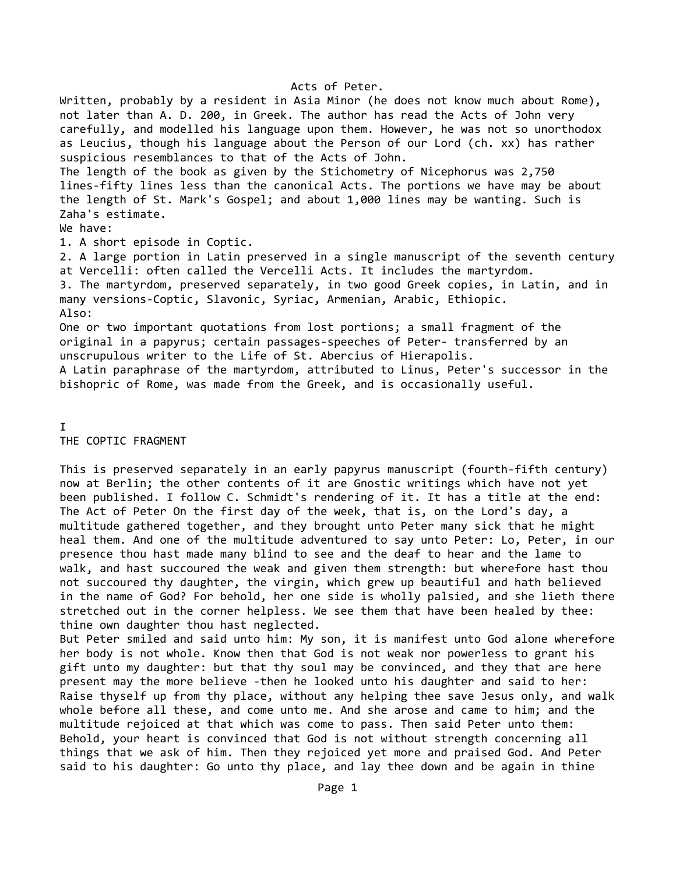Written, probably by a resident in Asia Minor (he does not know much about Rome), not later than A. D. 200, in Greek. The author has read the Acts of John very carefully, and modelled his language upon them. However, he was not so unorthodox as Leucius, though his language about the Person of our Lord (ch. xx) has rather suspicious resemblances to that of the Acts of John. The length of the book as given by the Stichometry of Nicephorus was 2,750 lines-fifty lines less than the canonical Acts. The portions we have may be about the length of St. Mark's Gospel; and about 1,000 lines may be wanting. Such is Zaha's estimate. We have: 1. A short episode in Coptic. 2. A large portion in Latin preserved in a single manuscript of the seventh century at Vercelli: often called the Vercelli Acts. It includes the martyrdom. 3. The martyrdom, preserved separately, in two good Greek copies, in Latin, and in many versions-Coptic, Slavonic, Syriac, Armenian, Arabic, Ethiopic. Also: One or two important quotations from lost portions; a small fragment of the original in a papyrus; certain passages-speeches of Peter- transferred by an unscrupulous writer to the Life of St. Abercius of Hierapolis. A Latin paraphrase of the martyrdom, attributed to Linus, Peter's successor in the bishopric of Rome, was made from the Greek, and is occasionally useful.

I THE COPTIC FRAGMENT

This is preserved separately in an early papyrus manuscript (fourth-fifth century) now at Berlin; the other contents of it are Gnostic writings which have not yet been published. I follow C. Schmidt's rendering of it. It has a title at the end: The Act of Peter On the first day of the week, that is, on the Lord's day, a multitude gathered together, and they brought unto Peter many sick that he might heal them. And one of the multitude adventured to say unto Peter: Lo, Peter, in our presence thou hast made many blind to see and the deaf to hear and the lame to walk, and hast succoured the weak and given them strength: but wherefore hast thou not succoured thy daughter, the virgin, which grew up beautiful and hath believed in the name of God? For behold, her one side is wholly palsied, and she lieth there stretched out in the corner helpless. We see them that have been healed by thee: thine own daughter thou hast neglected.

But Peter smiled and said unto him: My son, it is manifest unto God alone wherefore her body is not whole. Know then that God is not weak nor powerless to grant his gift unto my daughter: but that thy soul may be convinced, and they that are here present may the more believe -then he looked unto his daughter and said to her: Raise thyself up from thy place, without any helping thee save Jesus only, and walk whole before all these, and come unto me. And she arose and came to him; and the multitude rejoiced at that which was come to pass. Then said Peter unto them: Behold, your heart is convinced that God is not without strength concerning all things that we ask of him. Then they rejoiced yet more and praised God. And Peter said to his daughter: Go unto thy place, and lay thee down and be again in thine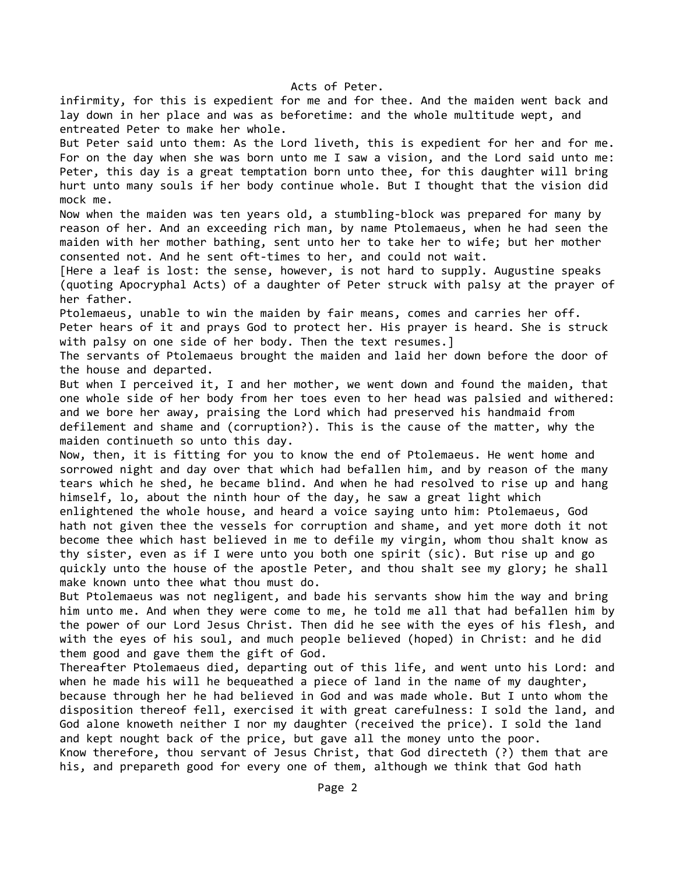infirmity, for this is expedient for me and for thee. And the maiden went back and lay down in her place and was as beforetime: and the whole multitude wept, and entreated Peter to make her whole.

But Peter said unto them: As the Lord liveth, this is expedient for her and for me. For on the day when she was born unto me I saw a vision, and the Lord said unto me: Peter, this day is a great temptation born unto thee, for this daughter will bring hurt unto many souls if her body continue whole. But I thought that the vision did mock me.

Now when the maiden was ten years old, a stumbling-block was prepared for many by reason of her. And an exceeding rich man, by name Ptolemaeus, when he had seen the maiden with her mother bathing, sent unto her to take her to wife; but her mother consented not. And he sent oft-times to her, and could not wait.

[Here a leaf is lost: the sense, however, is not hard to supply. Augustine speaks (quoting Apocryphal Acts) of a daughter of Peter struck with palsy at the prayer of her father.

Ptolemaeus, unable to win the maiden by fair means, comes and carries her off. Peter hears of it and prays God to protect her. His prayer is heard. She is struck with palsy on one side of her body. Then the text resumes.]

The servants of Ptolemaeus brought the maiden and laid her down before the door of the house and departed.

But when I perceived it, I and her mother, we went down and found the maiden, that one whole side of her body from her toes even to her head was palsied and withered: and we bore her away, praising the Lord which had preserved his handmaid from defilement and shame and (corruption?). This is the cause of the matter, why the maiden continueth so unto this day.

Now, then, it is fitting for you to know the end of Ptolemaeus. He went home and sorrowed night and day over that which had befallen him, and by reason of the many tears which he shed, he became blind. And when he had resolved to rise up and hang himself, lo, about the ninth hour of the day, he saw a great light which enlightened the whole house, and heard a voice saying unto him: Ptolemaeus, God hath not given thee the vessels for corruption and shame, and yet more doth it not become thee which hast believed in me to defile my virgin, whom thou shalt know as thy sister, even as if I were unto you both one spirit (sic). But rise up and go quickly unto the house of the apostle Peter, and thou shalt see my glory; he shall make known unto thee what thou must do.

But Ptolemaeus was not negligent, and bade his servants show him the way and bring him unto me. And when they were come to me, he told me all that had befallen him by the power of our Lord Jesus Christ. Then did he see with the eyes of his flesh, and with the eyes of his soul, and much people believed (hoped) in Christ: and he did them good and gave them the gift of God.

Thereafter Ptolemaeus died, departing out of this life, and went unto his Lord: and when he made his will he bequeathed a piece of land in the name of my daughter, because through her he had believed in God and was made whole. But I unto whom the disposition thereof fell, exercised it with great carefulness: I sold the land, and God alone knoweth neither I nor my daughter (received the price). I sold the land and kept nought back of the price, but gave all the money unto the poor. Know therefore, thou servant of Jesus Christ, that God directeth (?) them that are

his, and prepareth good for every one of them, although we think that God hath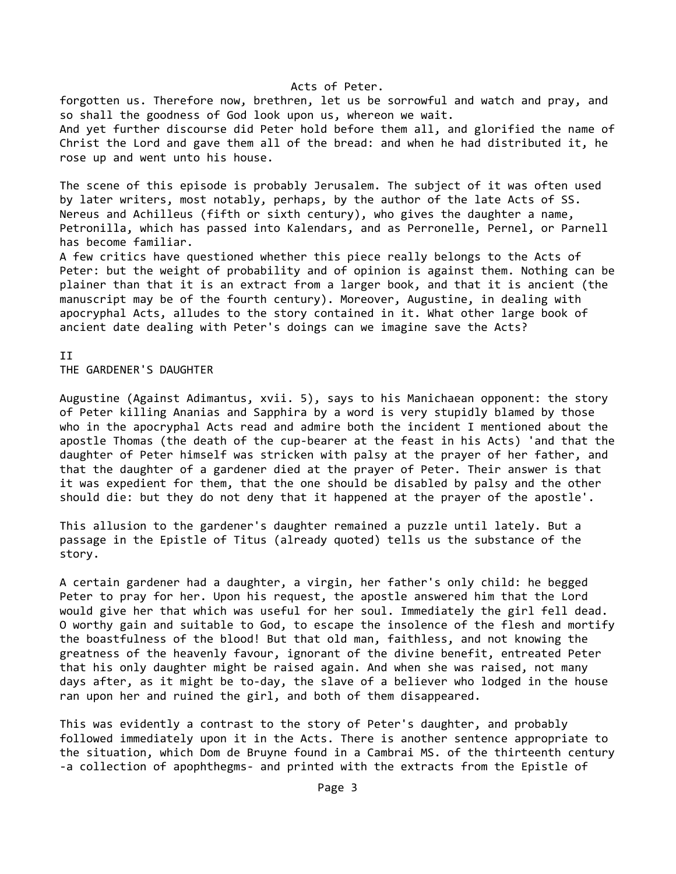forgotten us. Therefore now, brethren, let us be sorrowful and watch and pray, and so shall the goodness of God look upon us, whereon we wait. And yet further discourse did Peter hold before them all, and glorified the name of Christ the Lord and gave them all of the bread: and when he had distributed it, he rose up and went unto his house.

The scene of this episode is probably Jerusalem. The subject of it was often used by later writers, most notably, perhaps, by the author of the late Acts of SS. Nereus and Achilleus (fifth or sixth century), who gives the daughter a name, Petronilla, which has passed into Kalendars, and as Perronelle, Pernel, or Parnell has become familiar.

A few critics have questioned whether this piece really belongs to the Acts of Peter: but the weight of probability and of opinion is against them. Nothing can be plainer than that it is an extract from a larger book, and that it is ancient (the manuscript may be of the fourth century). Moreover, Augustine, in dealing with apocryphal Acts, alludes to the story contained in it. What other large book of ancient date dealing with Peter's doings can we imagine save the Acts?

II

THE GARDENER'S DAUGHTER

Augustine (Against Adimantus, xvii. 5), says to his Manichaean opponent: the story of Peter killing Ananias and Sapphira by a word is very stupidly blamed by those who in the apocryphal Acts read and admire both the incident I mentioned about the apostle Thomas (the death of the cup-bearer at the feast in his Acts) 'and that the daughter of Peter himself was stricken with palsy at the prayer of her father, and that the daughter of a gardener died at the prayer of Peter. Their answer is that it was expedient for them, that the one should be disabled by palsy and the other should die: but they do not deny that it happened at the prayer of the apostle'.

This allusion to the gardener's daughter remained a puzzle until lately. But a passage in the Epistle of Titus (already quoted) tells us the substance of the story.

A certain gardener had a daughter, a virgin, her father's only child: he begged Peter to pray for her. Upon his request, the apostle answered him that the Lord would give her that which was useful for her soul. Immediately the girl fell dead. O worthy gain and suitable to God, to escape the insolence of the flesh and mortify the boastfulness of the blood! But that old man, faithless, and not knowing the greatness of the heavenly favour, ignorant of the divine benefit, entreated Peter that his only daughter might be raised again. And when she was raised, not many days after, as it might be to-day, the slave of a believer who lodged in the house ran upon her and ruined the girl, and both of them disappeared.

This was evidently a contrast to the story of Peter's daughter, and probably followed immediately upon it in the Acts. There is another sentence appropriate to the situation, which Dom de Bruyne found in a Cambrai MS. of the thirteenth century -a collection of apophthegms- and printed with the extracts from the Epistle of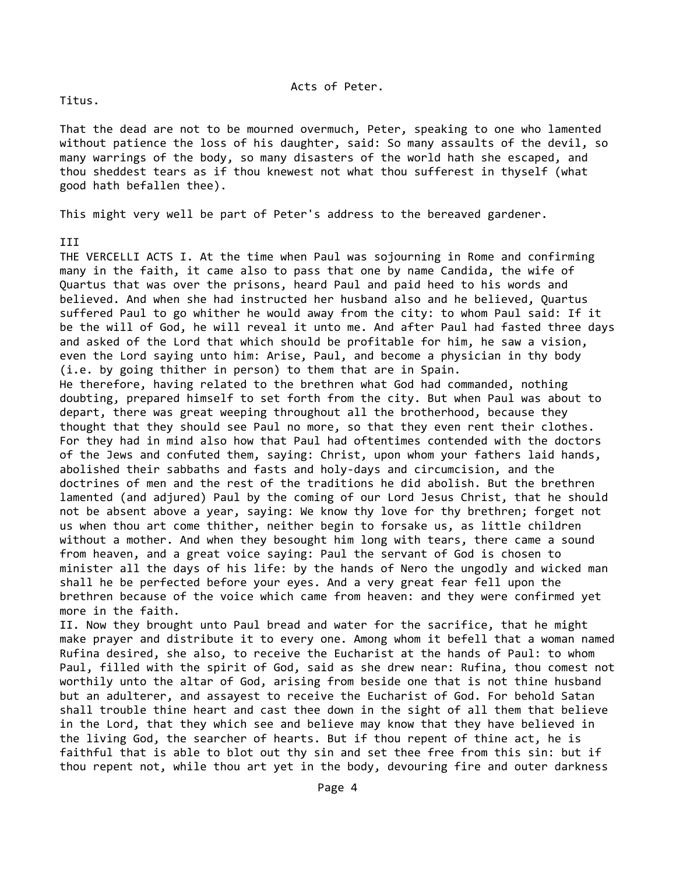# Titus.

That the dead are not to be mourned overmuch, Peter, speaking to one who lamented without patience the loss of his daughter, said: So many assaults of the devil, so many warrings of the body, so many disasters of the world hath she escaped, and thou sheddest tears as if thou knewest not what thou sufferest in thyself (what good hath befallen thee).

This might very well be part of Peter's address to the bereaved gardener.

# III

THE VERCELLI ACTS I. At the time when Paul was sojourning in Rome and confirming many in the faith, it came also to pass that one by name Candida, the wife of Quartus that was over the prisons, heard Paul and paid heed to his words and believed. And when she had instructed her husband also and he believed, Quartus suffered Paul to go whither he would away from the city: to whom Paul said: If it be the will of God, he will reveal it unto me. And after Paul had fasted three days and asked of the Lord that which should be profitable for him, he saw a vision, even the Lord saying unto him: Arise, Paul, and become a physician in thy body (i.e. by going thither in person) to them that are in Spain. He therefore, having related to the brethren what God had commanded, nothing doubting, prepared himself to set forth from the city. But when Paul was about to depart, there was great weeping throughout all the brotherhood, because they thought that they should see Paul no more, so that they even rent their clothes. For they had in mind also how that Paul had oftentimes contended with the doctors of the Jews and confuted them, saying: Christ, upon whom your fathers laid hands, abolished their sabbaths and fasts and holy-days and circumcision, and the doctrines of men and the rest of the traditions he did abolish. But the brethren lamented (and adjured) Paul by the coming of our Lord Jesus Christ, that he should not be absent above a year, saying: We know thy love for thy brethren; forget not us when thou art come thither, neither begin to forsake us, as little children without a mother. And when they besought him long with tears, there came a sound from heaven, and a great voice saying: Paul the servant of God is chosen to minister all the days of his life: by the hands of Nero the ungodly and wicked man shall he be perfected before your eyes. And a very great fear fell upon the brethren because of the voice which came from heaven: and they were confirmed yet more in the faith.

II. Now they brought unto Paul bread and water for the sacrifice, that he might make prayer and distribute it to every one. Among whom it befell that a woman named Rufina desired, she also, to receive the Eucharist at the hands of Paul: to whom Paul, filled with the spirit of God, said as she drew near: Rufina, thou comest not worthily unto the altar of God, arising from beside one that is not thine husband but an adulterer, and assayest to receive the Eucharist of God. For behold Satan shall trouble thine heart and cast thee down in the sight of all them that believe in the Lord, that they which see and believe may know that they have believed in the living God, the searcher of hearts. But if thou repent of thine act, he is faithful that is able to blot out thy sin and set thee free from this sin: but if thou repent not, while thou art yet in the body, devouring fire and outer darkness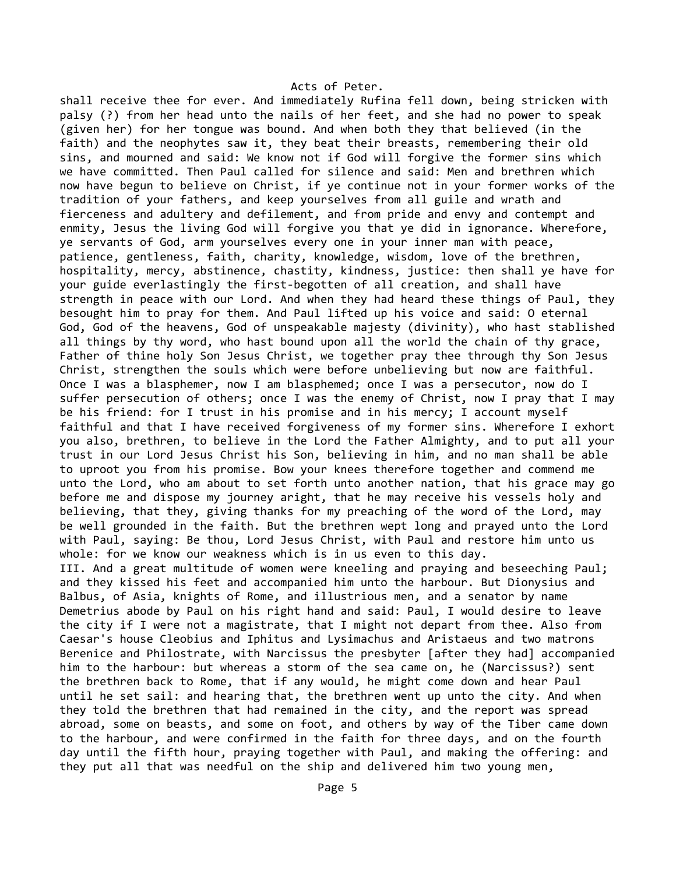shall receive thee for ever. And immediately Rufina fell down, being stricken with palsy (?) from her head unto the nails of her feet, and she had no power to speak (given her) for her tongue was bound. And when both they that believed (in the faith) and the neophytes saw it, they beat their breasts, remembering their old sins, and mourned and said: We know not if God will forgive the former sins which we have committed. Then Paul called for silence and said: Men and brethren which now have begun to believe on Christ, if ye continue not in your former works of the tradition of your fathers, and keep yourselves from all guile and wrath and fierceness and adultery and defilement, and from pride and envy and contempt and enmity, Jesus the living God will forgive you that ye did in ignorance. Wherefore, ye servants of God, arm yourselves every one in your inner man with peace, patience, gentleness, faith, charity, knowledge, wisdom, love of the brethren, hospitality, mercy, abstinence, chastity, kindness, justice: then shall ye have for your guide everlastingly the first-begotten of all creation, and shall have strength in peace with our Lord. And when they had heard these things of Paul, they besought him to pray for them. And Paul lifted up his voice and said: O eternal God, God of the heavens, God of unspeakable majesty (divinity), who hast stablished all things by thy word, who hast bound upon all the world the chain of thy grace, Father of thine holy Son Jesus Christ, we together pray thee through thy Son Jesus Christ, strengthen the souls which were before unbelieving but now are faithful. Once I was a blasphemer, now I am blasphemed; once I was a persecutor, now do I suffer persecution of others; once I was the enemy of Christ, now I pray that I may be his friend: for I trust in his promise and in his mercy; I account myself faithful and that I have received forgiveness of my former sins. Wherefore I exhort you also, brethren, to believe in the Lord the Father Almighty, and to put all your trust in our Lord Jesus Christ his Son, believing in him, and no man shall be able to uproot you from his promise. Bow your knees therefore together and commend me unto the Lord, who am about to set forth unto another nation, that his grace may go before me and dispose my journey aright, that he may receive his vessels holy and believing, that they, giving thanks for my preaching of the word of the Lord, may be well grounded in the faith. But the brethren wept long and prayed unto the Lord with Paul, saying: Be thou, Lord Jesus Christ, with Paul and restore him unto us whole: for we know our weakness which is in us even to this day. III. And a great multitude of women were kneeling and praying and beseeching Paul; and they kissed his feet and accompanied him unto the harbour. But Dionysius and Balbus, of Asia, knights of Rome, and illustrious men, and a senator by name Demetrius abode by Paul on his right hand and said: Paul, I would desire to leave the city if I were not a magistrate, that I might not depart from thee. Also from Caesar's house Cleobius and Iphitus and Lysimachus and Aristaeus and two matrons Berenice and Philostrate, with Narcissus the presbyter [after they had] accompanied him to the harbour: but whereas a storm of the sea came on, he (Narcissus?) sent the brethren back to Rome, that if any would, he might come down and hear Paul until he set sail: and hearing that, the brethren went up unto the city. And when they told the brethren that had remained in the city, and the report was spread abroad, some on beasts, and some on foot, and others by way of the Tiber came down to the harbour, and were confirmed in the faith for three days, and on the fourth day until the fifth hour, praying together with Paul, and making the offering: and they put all that was needful on the ship and delivered him two young men,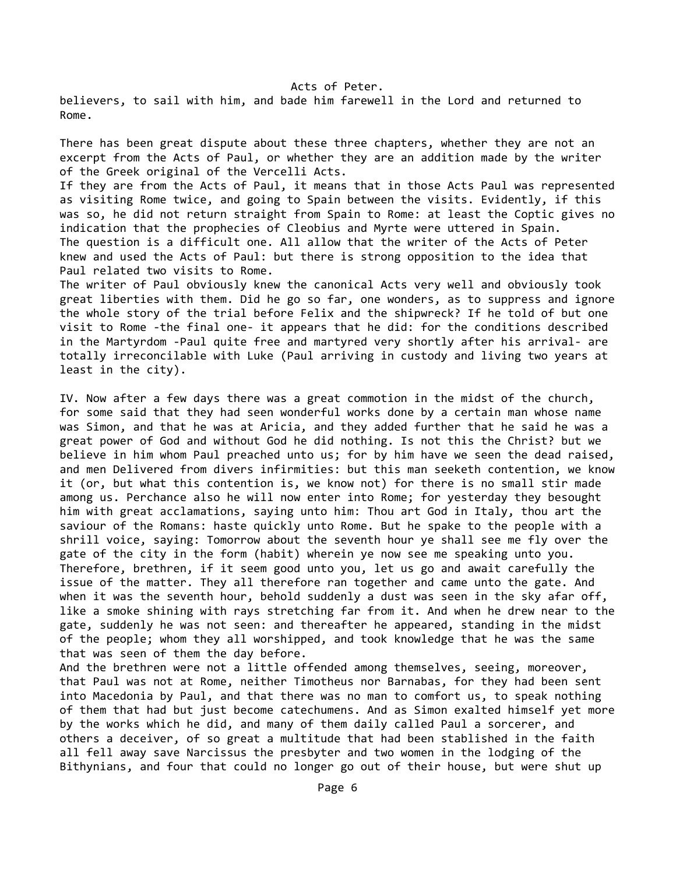believers, to sail with him, and bade him farewell in the Lord and returned to Rome.

There has been great dispute about these three chapters, whether they are not an excerpt from the Acts of Paul, or whether they are an addition made by the writer of the Greek original of the Vercelli Acts.

If they are from the Acts of Paul, it means that in those Acts Paul was represented as visiting Rome twice, and going to Spain between the visits. Evidently, if this was so, he did not return straight from Spain to Rome: at least the Coptic gives no indication that the prophecies of Cleobius and Myrte were uttered in Spain. The question is a difficult one. All allow that the writer of the Acts of Peter knew and used the Acts of Paul: but there is strong opposition to the idea that Paul related two visits to Rome.

The writer of Paul obviously knew the canonical Acts very well and obviously took great liberties with them. Did he go so far, one wonders, as to suppress and ignore the whole story of the trial before Felix and the shipwreck? If he told of but one visit to Rome -the final one- it appears that he did: for the conditions described in the Martyrdom -Paul quite free and martyred very shortly after his arrival- are totally irreconcilable with Luke (Paul arriving in custody and living two years at least in the city).

IV. Now after a few days there was a great commotion in the midst of the church, for some said that they had seen wonderful works done by a certain man whose name was Simon, and that he was at Aricia, and they added further that he said he was a great power of God and without God he did nothing. Is not this the Christ? but we believe in him whom Paul preached unto us; for by him have we seen the dead raised, and men Delivered from divers infirmities: but this man seeketh contention, we know it (or, but what this contention is, we know not) for there is no small stir made among us. Perchance also he will now enter into Rome; for yesterday they besought him with great acclamations, saying unto him: Thou art God in Italy, thou art the saviour of the Romans: haste quickly unto Rome. But he spake to the people with a shrill voice, saying: Tomorrow about the seventh hour ye shall see me fly over the gate of the city in the form (habit) wherein ye now see me speaking unto you. Therefore, brethren, if it seem good unto you, let us go and await carefully the issue of the matter. They all therefore ran together and came unto the gate. And when it was the seventh hour, behold suddenly a dust was seen in the sky afar off, like a smoke shining with rays stretching far from it. And when he drew near to the gate, suddenly he was not seen: and thereafter he appeared, standing in the midst of the people; whom they all worshipped, and took knowledge that he was the same that was seen of them the day before.

And the brethren were not a little offended among themselves, seeing, moreover, that Paul was not at Rome, neither Timotheus nor Barnabas, for they had been sent into Macedonia by Paul, and that there was no man to comfort us, to speak nothing of them that had but just become catechumens. And as Simon exalted himself yet more by the works which he did, and many of them daily called Paul a sorcerer, and others a deceiver, of so great a multitude that had been stablished in the faith all fell away save Narcissus the presbyter and two women in the lodging of the Bithynians, and four that could no longer go out of their house, but were shut up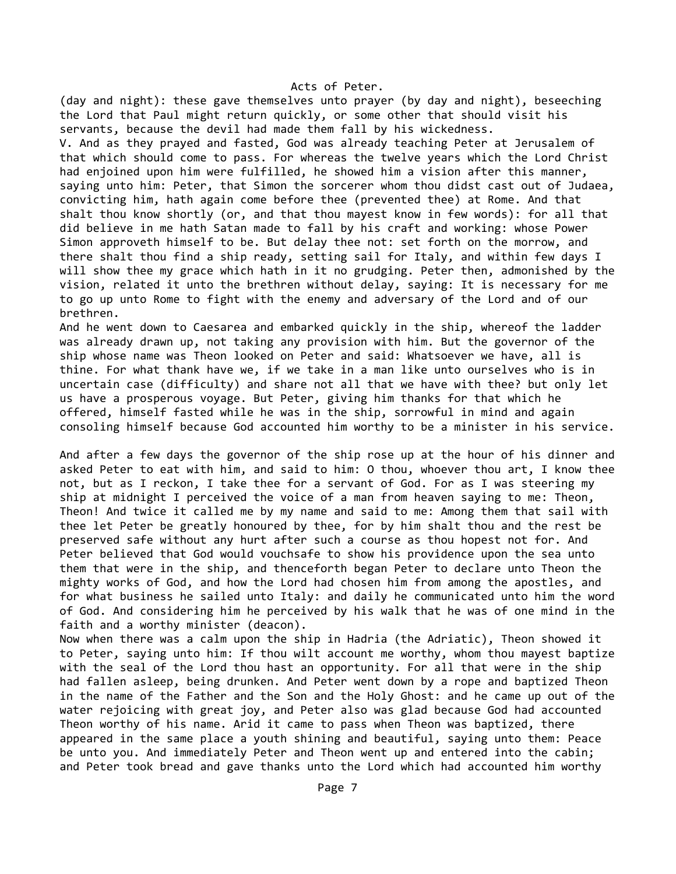(day and night): these gave themselves unto prayer (by day and night), beseeching the Lord that Paul might return quickly, or some other that should visit his servants, because the devil had made them fall by his wickedness. V. And as they prayed and fasted, God was already teaching Peter at Jerusalem of that which should come to pass. For whereas the twelve years which the Lord Christ had enjoined upon him were fulfilled, he showed him a vision after this manner, saying unto him: Peter, that Simon the sorcerer whom thou didst cast out of Judaea, convicting him, hath again come before thee (prevented thee) at Rome. And that shalt thou know shortly (or, and that thou mayest know in few words): for all that did believe in me hath Satan made to fall by his craft and working: whose Power Simon approveth himself to be. But delay thee not: set forth on the morrow, and there shalt thou find a ship ready, setting sail for Italy, and within few days I will show thee my grace which hath in it no grudging. Peter then, admonished by the vision, related it unto the brethren without delay, saying: It is necessary for me to go up unto Rome to fight with the enemy and adversary of the Lord and of our brethren.

And he went down to Caesarea and embarked quickly in the ship, whereof the ladder was already drawn up, not taking any provision with him. But the governor of the ship whose name was Theon looked on Peter and said: Whatsoever we have, all is thine. For what thank have we, if we take in a man like unto ourselves who is in uncertain case (difficulty) and share not all that we have with thee? but only let us have a prosperous voyage. But Peter, giving him thanks for that which he offered, himself fasted while he was in the ship, sorrowful in mind and again consoling himself because God accounted him worthy to be a minister in his service.

And after a few days the governor of the ship rose up at the hour of his dinner and asked Peter to eat with him, and said to him: O thou, whoever thou art, I know thee not, but as I reckon, I take thee for a servant of God. For as I was steering my ship at midnight I perceived the voice of a man from heaven saying to me: Theon, Theon! And twice it called me by my name and said to me: Among them that sail with thee let Peter be greatly honoured by thee, for by him shalt thou and the rest be preserved safe without any hurt after such a course as thou hopest not for. And Peter believed that God would vouchsafe to show his providence upon the sea unto them that were in the ship, and thenceforth began Peter to declare unto Theon the mighty works of God, and how the Lord had chosen him from among the apostles, and for what business he sailed unto Italy: and daily he communicated unto him the word of God. And considering him he perceived by his walk that he was of one mind in the faith and a worthy minister (deacon).

Now when there was a calm upon the ship in Hadria (the Adriatic), Theon showed it to Peter, saying unto him: If thou wilt account me worthy, whom thou mayest baptize with the seal of the Lord thou hast an opportunity. For all that were in the ship had fallen asleep, being drunken. And Peter went down by a rope and baptized Theon in the name of the Father and the Son and the Holy Ghost: and he came up out of the water rejoicing with great joy, and Peter also was glad because God had accounted Theon worthy of his name. Arid it came to pass when Theon was baptized, there appeared in the same place a youth shining and beautiful, saying unto them: Peace be unto you. And immediately Peter and Theon went up and entered into the cabin; and Peter took bread and gave thanks unto the Lord which had accounted him worthy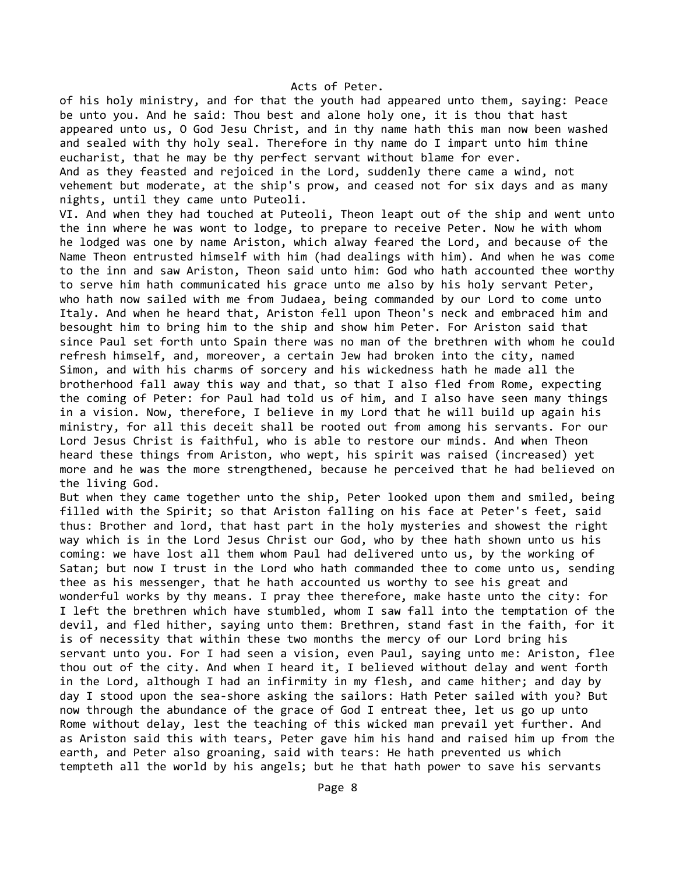of his holy ministry, and for that the youth had appeared unto them, saying: Peace be unto you. And he said: Thou best and alone holy one, it is thou that hast appeared unto us, O God Jesu Christ, and in thy name hath this man now been washed and sealed with thy holy seal. Therefore in thy name do I impart unto him thine eucharist, that he may be thy perfect servant without blame for ever.

And as they feasted and rejoiced in the Lord, suddenly there came a wind, not vehement but moderate, at the ship's prow, and ceased not for six days and as many nights, until they came unto Puteoli.

VI. And when they had touched at Puteoli, Theon leapt out of the ship and went unto the inn where he was wont to lodge, to prepare to receive Peter. Now he with whom he lodged was one by name Ariston, which alway feared the Lord, and because of the Name Theon entrusted himself with him (had dealings with him). And when he was come to the inn and saw Ariston, Theon said unto him: God who hath accounted thee worthy to serve him hath communicated his grace unto me also by his holy servant Peter, who hath now sailed with me from Judaea, being commanded by our Lord to come unto Italy. And when he heard that, Ariston fell upon Theon's neck and embraced him and besought him to bring him to the ship and show him Peter. For Ariston said that since Paul set forth unto Spain there was no man of the brethren with whom he could refresh himself, and, moreover, a certain Jew had broken into the city, named Simon, and with his charms of sorcery and his wickedness hath he made all the brotherhood fall away this way and that, so that I also fled from Rome, expecting the coming of Peter: for Paul had told us of him, and I also have seen many things in a vision. Now, therefore, I believe in my Lord that he will build up again his ministry, for all this deceit shall be rooted out from among his servants. For our Lord Jesus Christ is faithful, who is able to restore our minds. And when Theon heard these things from Ariston, who wept, his spirit was raised (increased) yet more and he was the more strengthened, because he perceived that he had believed on the living God.

But when they came together unto the ship, Peter looked upon them and smiled, being filled with the Spirit; so that Ariston falling on his face at Peter's feet, said thus: Brother and lord, that hast part in the holy mysteries and showest the right way which is in the Lord Jesus Christ our God, who by thee hath shown unto us his coming: we have lost all them whom Paul had delivered unto us, by the working of Satan; but now I trust in the Lord who hath commanded thee to come unto us, sending thee as his messenger, that he hath accounted us worthy to see his great and wonderful works by thy means. I pray thee therefore, make haste unto the city: for I left the brethren which have stumbled, whom I saw fall into the temptation of the devil, and fled hither, saying unto them: Brethren, stand fast in the faith, for it is of necessity that within these two months the mercy of our Lord bring his servant unto you. For I had seen a vision, even Paul, saying unto me: Ariston, flee thou out of the city. And when I heard it, I believed without delay and went forth in the Lord, although I had an infirmity in my flesh, and came hither; and day by day I stood upon the sea-shore asking the sailors: Hath Peter sailed with you? But now through the abundance of the grace of God I entreat thee, let us go up unto Rome without delay, lest the teaching of this wicked man prevail yet further. And as Ariston said this with tears, Peter gave him his hand and raised him up from the earth, and Peter also groaning, said with tears: He hath prevented us which tempteth all the world by his angels; but he that hath power to save his servants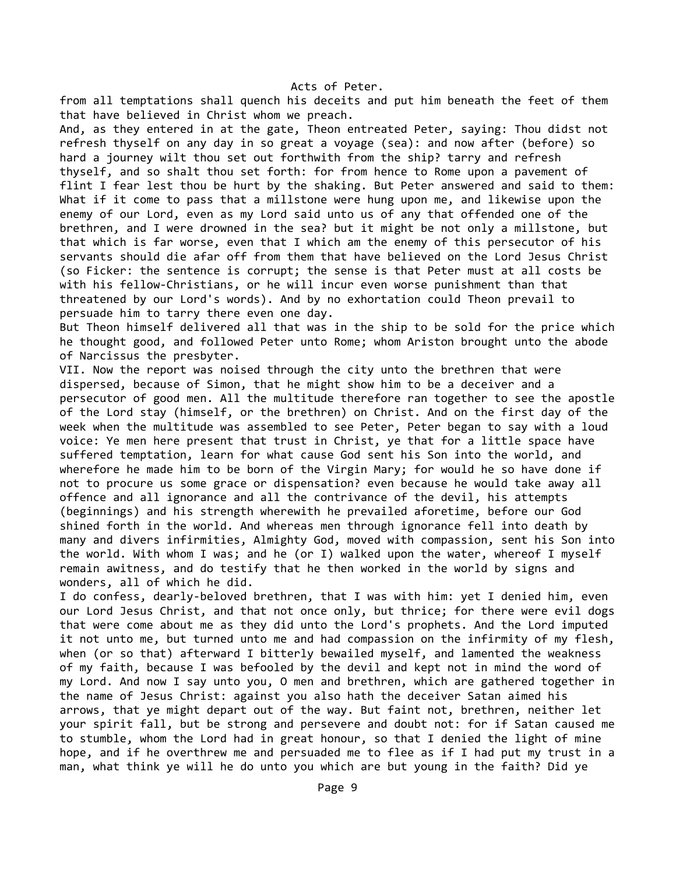from all temptations shall quench his deceits and put him beneath the feet of them that have believed in Christ whom we preach.

And, as they entered in at the gate, Theon entreated Peter, saying: Thou didst not refresh thyself on any day in so great a voyage (sea): and now after (before) so hard a journey wilt thou set out forthwith from the ship? tarry and refresh thyself, and so shalt thou set forth: for from hence to Rome upon a pavement of flint I fear lest thou be hurt by the shaking. But Peter answered and said to them: What if it come to pass that a millstone were hung upon me, and likewise upon the enemy of our Lord, even as my Lord said unto us of any that offended one of the brethren, and I were drowned in the sea? but it might be not only a millstone, but that which is far worse, even that I which am the enemy of this persecutor of his servants should die afar off from them that have believed on the Lord Jesus Christ (so Ficker: the sentence is corrupt; the sense is that Peter must at all costs be with his fellow-Christians, or he will incur even worse punishment than that threatened by our Lord's words). And by no exhortation could Theon prevail to persuade him to tarry there even one day.

But Theon himself delivered all that was in the ship to be sold for the price which he thought good, and followed Peter unto Rome; whom Ariston brought unto the abode of Narcissus the presbyter.

VII. Now the report was noised through the city unto the brethren that were dispersed, because of Simon, that he might show him to be a deceiver and a persecutor of good men. All the multitude therefore ran together to see the apostle of the Lord stay (himself, or the brethren) on Christ. And on the first day of the week when the multitude was assembled to see Peter, Peter began to say with a loud voice: Ye men here present that trust in Christ, ye that for a little space have suffered temptation, learn for what cause God sent his Son into the world, and wherefore he made him to be born of the Virgin Mary; for would he so have done if not to procure us some grace or dispensation? even because he would take away all offence and all ignorance and all the contrivance of the devil, his attempts (beginnings) and his strength wherewith he prevailed aforetime, before our God shined forth in the world. And whereas men through ignorance fell into death by many and divers infirmities, Almighty God, moved with compassion, sent his Son into the world. With whom I was; and he (or I) walked upon the water, whereof I myself remain awitness, and do testify that he then worked in the world by signs and wonders, all of which he did.

I do confess, dearly-beloved brethren, that I was with him: yet I denied him, even our Lord Jesus Christ, and that not once only, but thrice; for there were evil dogs that were come about me as they did unto the Lord's prophets. And the Lord imputed it not unto me, but turned unto me and had compassion on the infirmity of my flesh, when (or so that) afterward I bitterly bewailed myself, and lamented the weakness of my faith, because I was befooled by the devil and kept not in mind the word of my Lord. And now I say unto you, O men and brethren, which are gathered together in the name of Jesus Christ: against you also hath the deceiver Satan aimed his arrows, that ye might depart out of the way. But faint not, brethren, neither let your spirit fall, but be strong and persevere and doubt not: for if Satan caused me to stumble, whom the Lord had in great honour, so that I denied the light of mine hope, and if he overthrew me and persuaded me to flee as if I had put my trust in a man, what think ye will he do unto you which are but young in the faith? Did ye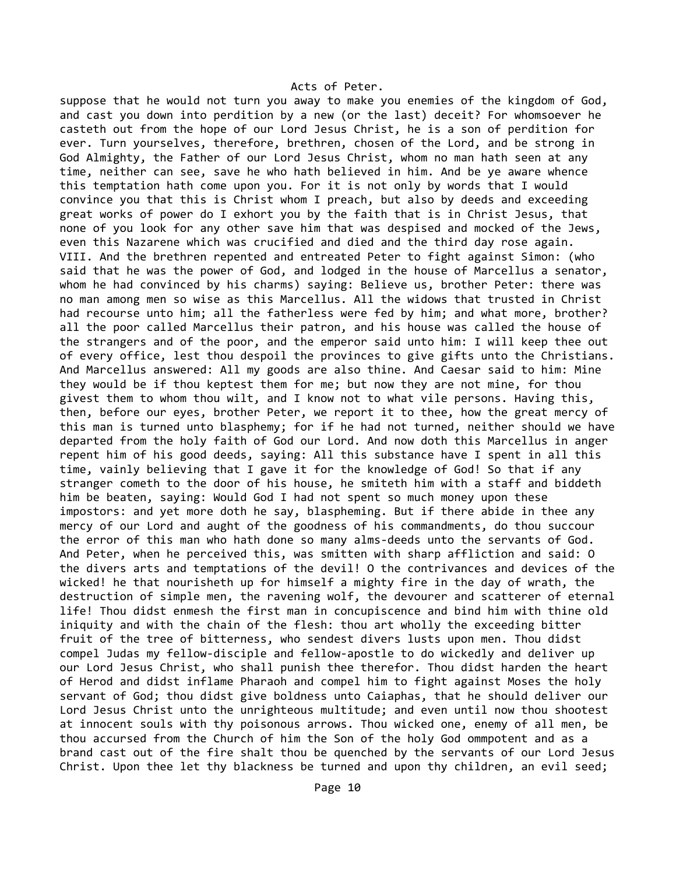suppose that he would not turn you away to make you enemies of the kingdom of God, and cast you down into perdition by a new (or the last) deceit? For whomsoever he casteth out from the hope of our Lord Jesus Christ, he is a son of perdition for ever. Turn yourselves, therefore, brethren, chosen of the Lord, and be strong in God Almighty, the Father of our Lord Jesus Christ, whom no man hath seen at any time, neither can see, save he who hath believed in him. And be ye aware whence this temptation hath come upon you. For it is not only by words that I would convince you that this is Christ whom I preach, but also by deeds and exceeding great works of power do I exhort you by the faith that is in Christ Jesus, that none of you look for any other save him that was despised and mocked of the Jews, even this Nazarene which was crucified and died and the third day rose again. VIII. And the brethren repented and entreated Peter to fight against Simon: (who said that he was the power of God, and lodged in the house of Marcellus a senator, whom he had convinced by his charms) saying: Believe us, brother Peter: there was no man among men so wise as this Marcellus. All the widows that trusted in Christ had recourse unto him; all the fatherless were fed by him; and what more, brother? all the poor called Marcellus their patron, and his house was called the house of the strangers and of the poor, and the emperor said unto him: I will keep thee out of every office, lest thou despoil the provinces to give gifts unto the Christians. And Marcellus answered: All my goods are also thine. And Caesar said to him: Mine they would be if thou keptest them for me; but now they are not mine, for thou givest them to whom thou wilt, and I know not to what vile persons. Having this, then, before our eyes, brother Peter, we report it to thee, how the great mercy of this man is turned unto blasphemy; for if he had not turned, neither should we have departed from the holy faith of God our Lord. And now doth this Marcellus in anger repent him of his good deeds, saying: All this substance have I spent in all this time, vainly believing that I gave it for the knowledge of God! So that if any stranger cometh to the door of his house, he smiteth him with a staff and biddeth him be beaten, saying: Would God I had not spent so much money upon these impostors: and yet more doth he say, blaspheming. But if there abide in thee any mercy of our Lord and aught of the goodness of his commandments, do thou succour the error of this man who hath done so many alms-deeds unto the servants of God. And Peter, when he perceived this, was smitten with sharp affliction and said: O the divers arts and temptations of the devil! O the contrivances and devices of the wicked! he that nourisheth up for himself a mighty fire in the day of wrath, the destruction of simple men, the ravening wolf, the devourer and scatterer of eternal life! Thou didst enmesh the first man in concupiscence and bind him with thine old iniquity and with the chain of the flesh: thou art wholly the exceeding bitter fruit of the tree of bitterness, who sendest divers lusts upon men. Thou didst compel Judas my fellow-disciple and fellow-apostle to do wickedly and deliver up our Lord Jesus Christ, who shall punish thee therefor. Thou didst harden the heart of Herod and didst inflame Pharaoh and compel him to fight against Moses the holy servant of God; thou didst give boldness unto Caiaphas, that he should deliver our Lord Jesus Christ unto the unrighteous multitude; and even until now thou shootest at innocent souls with thy poisonous arrows. Thou wicked one, enemy of all men, be thou accursed from the Church of him the Son of the holy God ommpotent and as a brand cast out of the fire shalt thou be quenched by the servants of our Lord Jesus Christ. Upon thee let thy blackness be turned and upon thy children, an evil seed;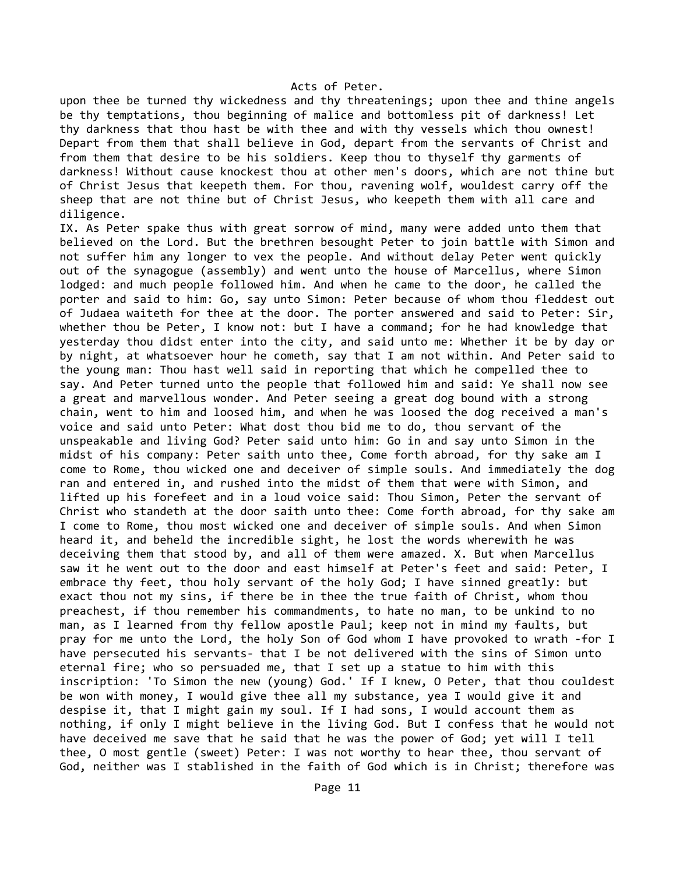upon thee be turned thy wickedness and thy threatenings; upon thee and thine angels be thy temptations, thou beginning of malice and bottomless pit of darkness! Let thy darkness that thou hast be with thee and with thy vessels which thou ownest! Depart from them that shall believe in God, depart from the servants of Christ and from them that desire to be his soldiers. Keep thou to thyself thy garments of darkness! Without cause knockest thou at other men's doors, which are not thine but of Christ Jesus that keepeth them. For thou, ravening wolf, wouldest carry off the sheep that are not thine but of Christ Jesus, who keepeth them with all care and diligence.

IX. As Peter spake thus with great sorrow of mind, many were added unto them that believed on the Lord. But the brethren besought Peter to join battle with Simon and not suffer him any longer to vex the people. And without delay Peter went quickly out of the synagogue (assembly) and went unto the house of Marcellus, where Simon lodged: and much people followed him. And when he came to the door, he called the porter and said to him: Go, say unto Simon: Peter because of whom thou fleddest out of Judaea waiteth for thee at the door. The porter answered and said to Peter: Sir, whether thou be Peter, I know not: but I have a command; for he had knowledge that yesterday thou didst enter into the city, and said unto me: Whether it be by day or by night, at whatsoever hour he cometh, say that I am not within. And Peter said to the young man: Thou hast well said in reporting that which he compelled thee to say. And Peter turned unto the people that followed him and said: Ye shall now see a great and marvellous wonder. And Peter seeing a great dog bound with a strong chain, went to him and loosed him, and when he was loosed the dog received a man's voice and said unto Peter: What dost thou bid me to do, thou servant of the unspeakable and living God? Peter said unto him: Go in and say unto Simon in the midst of his company: Peter saith unto thee, Come forth abroad, for thy sake am I come to Rome, thou wicked one and deceiver of simple souls. And immediately the dog ran and entered in, and rushed into the midst of them that were with Simon, and lifted up his forefeet and in a loud voice said: Thou Simon, Peter the servant of Christ who standeth at the door saith unto thee: Come forth abroad, for thy sake am I come to Rome, thou most wicked one and deceiver of simple souls. And when Simon heard it, and beheld the incredible sight, he lost the words wherewith he was deceiving them that stood by, and all of them were amazed. X. But when Marcellus saw it he went out to the door and east himself at Peter's feet and said: Peter, I embrace thy feet, thou holy servant of the holy God; I have sinned greatly: but exact thou not my sins, if there be in thee the true faith of Christ, whom thou preachest, if thou remember his commandments, to hate no man, to be unkind to no man, as I learned from thy fellow apostle Paul; keep not in mind my faults, but pray for me unto the Lord, the holy Son of God whom I have provoked to wrath -for I have persecuted his servants- that I be not delivered with the sins of Simon unto eternal fire; who so persuaded me, that I set up a statue to him with this inscription: 'To Simon the new (young) God.' If I knew, O Peter, that thou couldest be won with money, I would give thee all my substance, yea I would give it and despise it, that I might gain my soul. If I had sons, I would account them as nothing, if only I might believe in the living God. But I confess that he would not have deceived me save that he said that he was the power of God; yet will I tell thee, O most gentle (sweet) Peter: I was not worthy to hear thee, thou servant of God, neither was I stablished in the faith of God which is in Christ; therefore was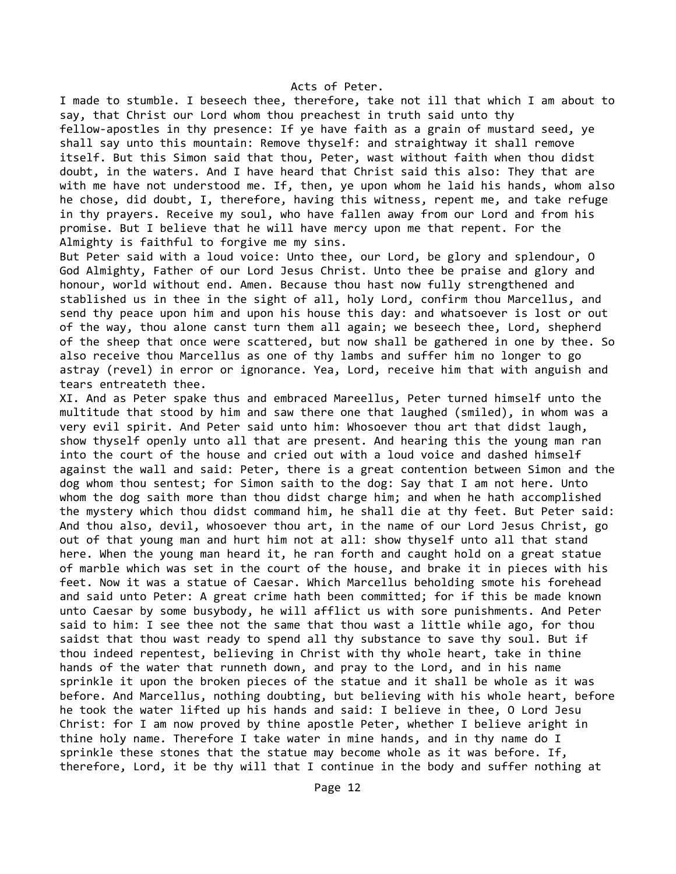I made to stumble. I beseech thee, therefore, take not ill that which I am about to say, that Christ our Lord whom thou preachest in truth said unto thy fellow-apostles in thy presence: If ye have faith as a grain of mustard seed, ye shall say unto this mountain: Remove thyself: and straightway it shall remove itself. But this Simon said that thou, Peter, wast without faith when thou didst doubt, in the waters. And I have heard that Christ said this also: They that are with me have not understood me. If, then, ye upon whom he laid his hands, whom also he chose, did doubt, I, therefore, having this witness, repent me, and take refuge in thy prayers. Receive my soul, who have fallen away from our Lord and from his promise. But I believe that he will have mercy upon me that repent. For the Almighty is faithful to forgive me my sins.

But Peter said with a loud voice: Unto thee, our Lord, be glory and splendour, O God Almighty, Father of our Lord Jesus Christ. Unto thee be praise and glory and honour, world without end. Amen. Because thou hast now fully strengthened and stablished us in thee in the sight of all, holy Lord, confirm thou Marcellus, and send thy peace upon him and upon his house this day: and whatsoever is lost or out of the way, thou alone canst turn them all again; we beseech thee, Lord, shepherd of the sheep that once were scattered, but now shall be gathered in one by thee. So also receive thou Marcellus as one of thy lambs and suffer him no longer to go astray (revel) in error or ignorance. Yea, Lord, receive him that with anguish and tears entreateth thee.

XI. And as Peter spake thus and embraced Mareellus, Peter turned himself unto the multitude that stood by him and saw there one that laughed (smiled), in whom was a very evil spirit. And Peter said unto him: Whosoever thou art that didst laugh, show thyself openly unto all that are present. And hearing this the young man ran into the court of the house and cried out with a loud voice and dashed himself against the wall and said: Peter, there is a great contention between Simon and the dog whom thou sentest; for Simon saith to the dog: Say that I am not here. Unto whom the dog saith more than thou didst charge him; and when he hath accomplished the mystery which thou didst command him, he shall die at thy feet. But Peter said: And thou also, devil, whosoever thou art, in the name of our Lord Jesus Christ, go out of that young man and hurt him not at all: show thyself unto all that stand here. When the young man heard it, he ran forth and caught hold on a great statue of marble which was set in the court of the house, and brake it in pieces with his feet. Now it was a statue of Caesar. Which Marcellus beholding smote his forehead and said unto Peter: A great crime hath been committed; for if this be made known unto Caesar by some busybody, he will afflict us with sore punishments. And Peter said to him: I see thee not the same that thou wast a little while ago, for thou saidst that thou wast ready to spend all thy substance to save thy soul. But if thou indeed repentest, believing in Christ with thy whole heart, take in thine hands of the water that runneth down, and pray to the Lord, and in his name sprinkle it upon the broken pieces of the statue and it shall be whole as it was before. And Marcellus, nothing doubting, but believing with his whole heart, before he took the water lifted up his hands and said: I believe in thee, O Lord Jesu Christ: for I am now proved by thine apostle Peter, whether I believe aright in thine holy name. Therefore I take water in mine hands, and in thy name do I sprinkle these stones that the statue may become whole as it was before. If, therefore, Lord, it be thy will that I continue in the body and suffer nothing at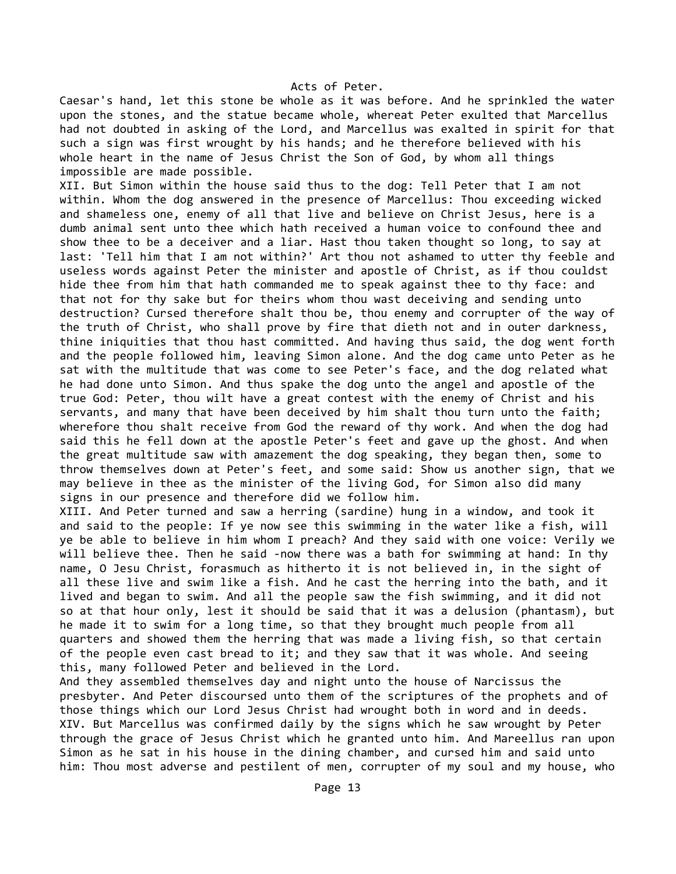Caesar's hand, let this stone be whole as it was before. And he sprinkled the water upon the stones, and the statue became whole, whereat Peter exulted that Marcellus had not doubted in asking of the Lord, and Marcellus was exalted in spirit for that such a sign was first wrought by his hands; and he therefore believed with his whole heart in the name of Jesus Christ the Son of God, by whom all things impossible are made possible.

XII. But Simon within the house said thus to the dog: Tell Peter that I am not within. Whom the dog answered in the presence of Marcellus: Thou exceeding wicked and shameless one, enemy of all that live and believe on Christ Jesus, here is a dumb animal sent unto thee which hath received a human voice to confound thee and show thee to be a deceiver and a liar. Hast thou taken thought so long, to say at last: 'Tell him that I am not within?' Art thou not ashamed to utter thy feeble and useless words against Peter the minister and apostle of Christ, as if thou couldst hide thee from him that hath commanded me to speak against thee to thy face: and that not for thy sake but for theirs whom thou wast deceiving and sending unto destruction? Cursed therefore shalt thou be, thou enemy and corrupter of the way of the truth of Christ, who shall prove by fire that dieth not and in outer darkness, thine iniquities that thou hast committed. And having thus said, the dog went forth and the people followed him, leaving Simon alone. And the dog came unto Peter as he sat with the multitude that was come to see Peter's face, and the dog related what he had done unto Simon. And thus spake the dog unto the angel and apostle of the true God: Peter, thou wilt have a great contest with the enemy of Christ and his servants, and many that have been deceived by him shalt thou turn unto the faith; wherefore thou shalt receive from God the reward of thy work. And when the dog had said this he fell down at the apostle Peter's feet and gave up the ghost. And when the great multitude saw with amazement the dog speaking, they began then, some to throw themselves down at Peter's feet, and some said: Show us another sign, that we may believe in thee as the minister of the living God, for Simon also did many signs in our presence and therefore did we follow him.

XIII. And Peter turned and saw a herring (sardine) hung in a window, and took it and said to the people: If ye now see this swimming in the water like a fish, will ye be able to believe in him whom I preach? And they said with one voice: Verily we will believe thee. Then he said -now there was a bath for swimming at hand: In thy name, O Jesu Christ, forasmuch as hitherto it is not believed in, in the sight of all these live and swim like a fish. And he cast the herring into the bath, and it lived and began to swim. And all the people saw the fish swimming, and it did not so at that hour only, lest it should be said that it was a delusion (phantasm), but he made it to swim for a long time, so that they brought much people from all quarters and showed them the herring that was made a living fish, so that certain of the people even cast bread to it; and they saw that it was whole. And seeing this, many followed Peter and believed in the Lord.

And they assembled themselves day and night unto the house of Narcissus the presbyter. And Peter discoursed unto them of the scriptures of the prophets and of those things which our Lord Jesus Christ had wrought both in word and in deeds. XIV. But Marcellus was confirmed daily by the signs which he saw wrought by Peter through the grace of Jesus Christ which he granted unto him. And Mareellus ran upon Simon as he sat in his house in the dining chamber, and cursed him and said unto him: Thou most adverse and pestilent of men, corrupter of my soul and my house, who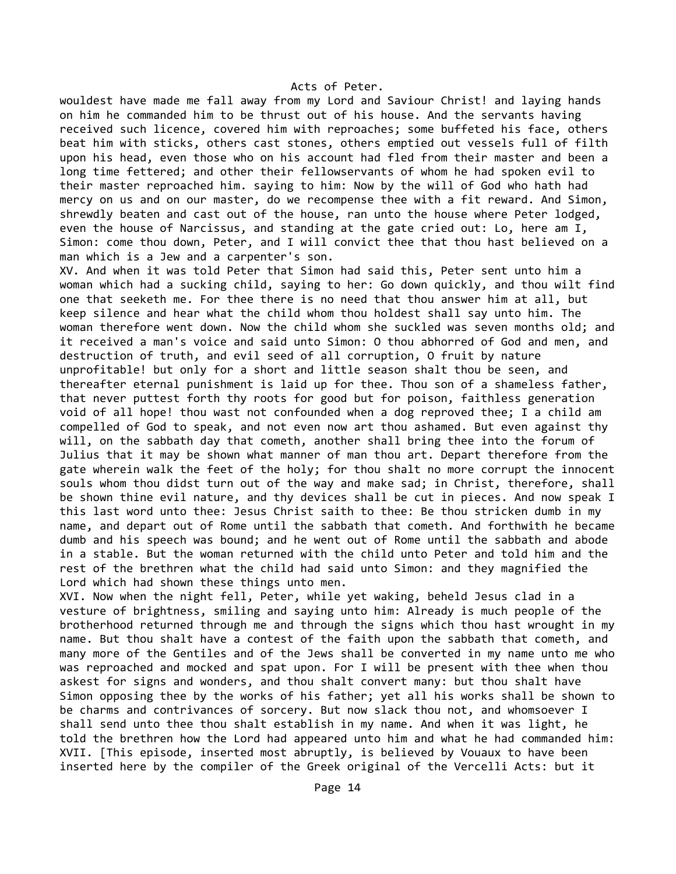wouldest have made me fall away from my Lord and Saviour Christ! and laying hands on him he commanded him to be thrust out of his house. And the servants having received such licence, covered him with reproaches; some buffeted his face, others beat him with sticks, others cast stones, others emptied out vessels full of filth upon his head, even those who on his account had fled from their master and been a long time fettered; and other their fellowservants of whom he had spoken evil to their master reproached him. saying to him: Now by the will of God who hath had mercy on us and on our master, do we recompense thee with a fit reward. And Simon, shrewdly beaten and cast out of the house, ran unto the house where Peter lodged, even the house of Narcissus, and standing at the gate cried out: Lo, here am I, Simon: come thou down, Peter, and I will convict thee that thou hast believed on a man which is a Jew and a carpenter's son.

XV. And when it was told Peter that Simon had said this, Peter sent unto him a woman which had a sucking child, saying to her: Go down quickly, and thou wilt find one that seeketh me. For thee there is no need that thou answer him at all, but keep silence and hear what the child whom thou holdest shall say unto him. The woman therefore went down. Now the child whom she suckled was seven months old; and it received a man's voice and said unto Simon: O thou abhorred of God and men, and destruction of truth, and evil seed of all corruption, O fruit by nature unprofitable! but only for a short and little season shalt thou be seen, and thereafter eternal punishment is laid up for thee. Thou son of a shameless father, that never puttest forth thy roots for good but for poison, faithless generation void of all hope! thou wast not confounded when a dog reproved thee; I a child am compelled of God to speak, and not even now art thou ashamed. But even against thy will, on the sabbath day that cometh, another shall bring thee into the forum of Julius that it may be shown what manner of man thou art. Depart therefore from the gate wherein walk the feet of the holy; for thou shalt no more corrupt the innocent souls whom thou didst turn out of the way and make sad; in Christ, therefore, shall be shown thine evil nature, and thy devices shall be cut in pieces. And now speak I this last word unto thee: Jesus Christ saith to thee: Be thou stricken dumb in my name, and depart out of Rome until the sabbath that cometh. And forthwith he became dumb and his speech was bound; and he went out of Rome until the sabbath and abode in a stable. But the woman returned with the child unto Peter and told him and the rest of the brethren what the child had said unto Simon: and they magnified the Lord which had shown these things unto men.

XVI. Now when the night fell, Peter, while yet waking, beheld Jesus clad in a vesture of brightness, smiling and saying unto him: Already is much people of the brotherhood returned through me and through the signs which thou hast wrought in my name. But thou shalt have a contest of the faith upon the sabbath that cometh, and many more of the Gentiles and of the Jews shall be converted in my name unto me who was reproached and mocked and spat upon. For I will be present with thee when thou askest for signs and wonders, and thou shalt convert many: but thou shalt have Simon opposing thee by the works of his father; yet all his works shall be shown to be charms and contrivances of sorcery. But now slack thou not, and whomsoever I shall send unto thee thou shalt establish in my name. And when it was light, he told the brethren how the Lord had appeared unto him and what he had commanded him: XVII. [This episode, inserted most abruptly, is believed by Vouaux to have been inserted here by the compiler of the Greek original of the Vercelli Acts: but it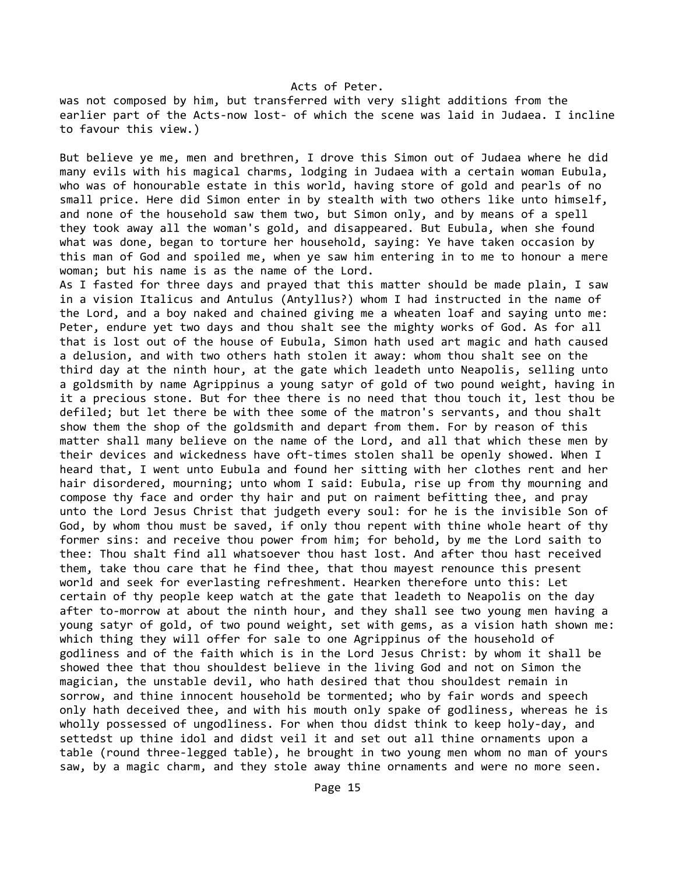was not composed by him, but transferred with very slight additions from the earlier part of the Acts-now lost- of which the scene was laid in Judaea. I incline to favour this view.)

But believe ye me, men and brethren, I drove this Simon out of Judaea where he did many evils with his magical charms, lodging in Judaea with a certain woman Eubula, who was of honourable estate in this world, having store of gold and pearls of no small price. Here did Simon enter in by stealth with two others like unto himself, and none of the household saw them two, but Simon only, and by means of a spell they took away all the woman's gold, and disappeared. But Eubula, when she found what was done, began to torture her household, saying: Ye have taken occasion by this man of God and spoiled me, when ye saw him entering in to me to honour a mere woman; but his name is as the name of the Lord. As I fasted for three days and prayed that this matter should be made plain, I saw in a vision Italicus and Antulus (Antyllus?) whom I had instructed in the name of the Lord, and a boy naked and chained giving me a wheaten loaf and saying unto me: Peter, endure yet two days and thou shalt see the mighty works of God. As for all that is lost out of the house of Eubula, Simon hath used art magic and hath caused a delusion, and with two others hath stolen it away: whom thou shalt see on the third day at the ninth hour, at the gate which leadeth unto Neapolis, selling unto a goldsmith by name Agrippinus a young satyr of gold of two pound weight, having in it a precious stone. But for thee there is no need that thou touch it, lest thou be defiled; but let there be with thee some of the matron's servants, and thou shalt show them the shop of the goldsmith and depart from them. For by reason of this matter shall many believe on the name of the Lord, and all that which these men by their devices and wickedness have oft-times stolen shall be openly showed. When I heard that, I went unto Eubula and found her sitting with her clothes rent and her hair disordered, mourning; unto whom I said: Eubula, rise up from thy mourning and compose thy face and order thy hair and put on raiment befitting thee, and pray unto the Lord Jesus Christ that judgeth every soul: for he is the invisible Son of God, by whom thou must be saved, if only thou repent with thine whole heart of thy former sins: and receive thou power from him; for behold, by me the Lord saith to thee: Thou shalt find all whatsoever thou hast lost. And after thou hast received them, take thou care that he find thee, that thou mayest renounce this present world and seek for everlasting refreshment. Hearken therefore unto this: Let certain of thy people keep watch at the gate that leadeth to Neapolis on the day after to-morrow at about the ninth hour, and they shall see two young men having a young satyr of gold, of two pound weight, set with gems, as a vision hath shown me: which thing they will offer for sale to one Agrippinus of the household of godliness and of the faith which is in the Lord Jesus Christ: by whom it shall be showed thee that thou shouldest believe in the living God and not on Simon the magician, the unstable devil, who hath desired that thou shouldest remain in sorrow, and thine innocent household be tormented; who by fair words and speech only hath deceived thee, and with his mouth only spake of godliness, whereas he is wholly possessed of ungodliness. For when thou didst think to keep holy-day, and settedst up thine idol and didst veil it and set out all thine ornaments upon a table (round three-legged table), he brought in two young men whom no man of yours saw, by a magic charm, and they stole away thine ornaments and were no more seen.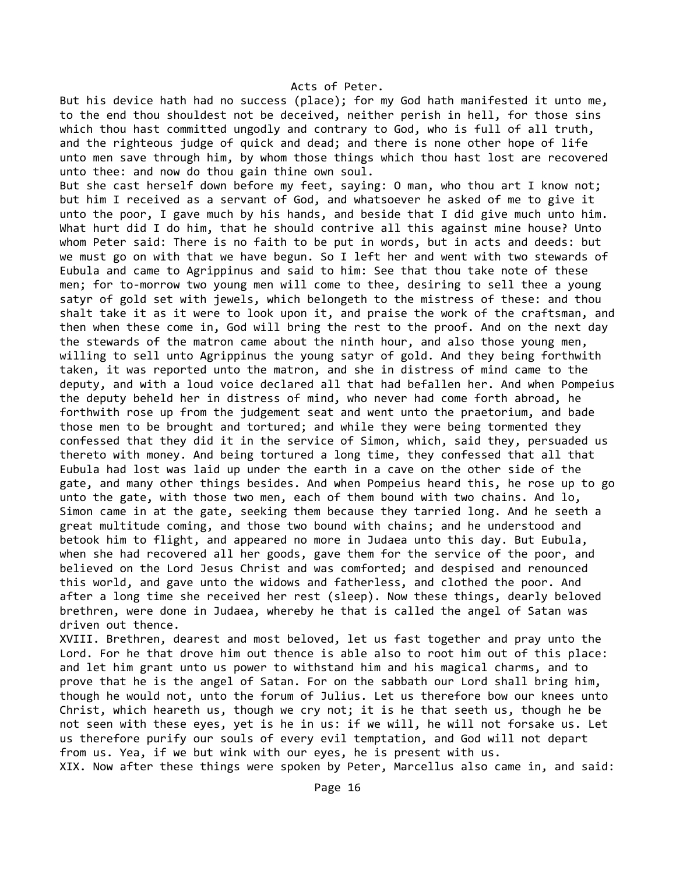But his device hath had no success (place); for my God hath manifested it unto me, to the end thou shouldest not be deceived, neither perish in hell, for those sins which thou hast committed ungodly and contrary to God, who is full of all truth, and the righteous judge of quick and dead; and there is none other hope of life unto men save through him, by whom those things which thou hast lost are recovered unto thee: and now do thou gain thine own soul.

But she cast herself down before my feet, saying: O man, who thou art I know not; but him I received as a servant of God, and whatsoever he asked of me to give it unto the poor, I gave much by his hands, and beside that I did give much unto him. What hurt did I do him, that he should contrive all this against mine house? Unto whom Peter said: There is no faith to be put in words, but in acts and deeds: but we must go on with that we have begun. So I left her and went with two stewards of Eubula and came to Agrippinus and said to him: See that thou take note of these men; for to-morrow two young men will come to thee, desiring to sell thee a young satyr of gold set with jewels, which belongeth to the mistress of these: and thou shalt take it as it were to look upon it, and praise the work of the craftsman, and then when these come in, God will bring the rest to the proof. And on the next day the stewards of the matron came about the ninth hour, and also those young men, willing to sell unto Agrippinus the young satyr of gold. And they being forthwith taken, it was reported unto the matron, and she in distress of mind came to the deputy, and with a loud voice declared all that had befallen her. And when Pompeius the deputy beheld her in distress of mind, who never had come forth abroad, he forthwith rose up from the judgement seat and went unto the praetorium, and bade those men to be brought and tortured; and while they were being tormented they confessed that they did it in the service of Simon, which, said they, persuaded us thereto with money. And being tortured a long time, they confessed that all that Eubula had lost was laid up under the earth in a cave on the other side of the gate, and many other things besides. And when Pompeius heard this, he rose up to go unto the gate, with those two men, each of them bound with two chains. And lo, Simon came in at the gate, seeking them because they tarried long. And he seeth a great multitude coming, and those two bound with chains; and he understood and betook him to flight, and appeared no more in Judaea unto this day. But Eubula, when she had recovered all her goods, gave them for the service of the poor, and believed on the Lord Jesus Christ and was comforted; and despised and renounced this world, and gave unto the widows and fatherless, and clothed the poor. And after a long time she received her rest (sleep). Now these things, dearly beloved brethren, were done in Judaea, whereby he that is called the angel of Satan was driven out thence.

XVIII. Brethren, dearest and most beloved, let us fast together and pray unto the Lord. For he that drove him out thence is able also to root him out of this place: and let him grant unto us power to withstand him and his magical charms, and to prove that he is the angel of Satan. For on the sabbath our Lord shall bring him, though he would not, unto the forum of Julius. Let us therefore bow our knees unto Christ, which heareth us, though we cry not; it is he that seeth us, though he be not seen with these eyes, yet is he in us: if we will, he will not forsake us. Let us therefore purify our souls of every evil temptation, and God will not depart from us. Yea, if we but wink with our eyes, he is present with us.

XIX. Now after these things were spoken by Peter, Marcellus also came in, and said: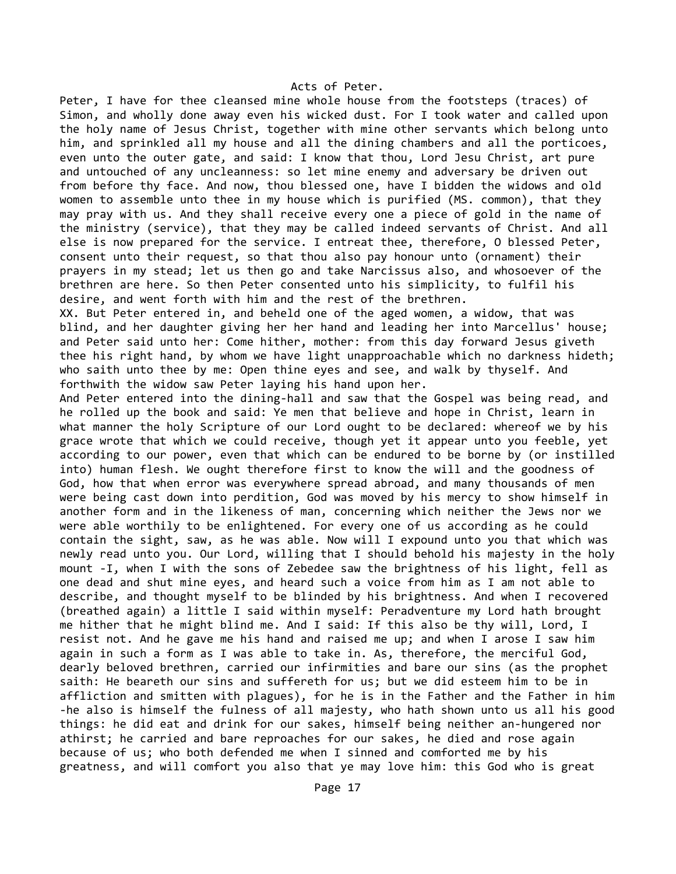Peter, I have for thee cleansed mine whole house from the footsteps (traces) of Simon, and wholly done away even his wicked dust. For I took water and called upon the holy name of Jesus Christ, together with mine other servants which belong unto him, and sprinkled all my house and all the dining chambers and all the porticoes, even unto the outer gate, and said: I know that thou, Lord Jesu Christ, art pure and untouched of any uncleanness: so let mine enemy and adversary be driven out from before thy face. And now, thou blessed one, have I bidden the widows and old women to assemble unto thee in my house which is purified (MS. common), that they may pray with us. And they shall receive every one a piece of gold in the name of the ministry (service), that they may be called indeed servants of Christ. And all else is now prepared for the service. I entreat thee, therefore, O blessed Peter, consent unto their request, so that thou also pay honour unto (ornament) their prayers in my stead; let us then go and take Narcissus also, and whosoever of the brethren are here. So then Peter consented unto his simplicity, to fulfil his desire, and went forth with him and the rest of the brethren.

XX. But Peter entered in, and beheld one of the aged women, a widow, that was blind, and her daughter giving her her hand and leading her into Marcellus' house; and Peter said unto her: Come hither, mother: from this day forward Jesus giveth thee his right hand, by whom we have light unapproachable which no darkness hideth; who saith unto thee by me: Open thine eyes and see, and walk by thyself. And forthwith the widow saw Peter laying his hand upon her.

And Peter entered into the dining-hall and saw that the Gospel was being read, and he rolled up the book and said: Ye men that believe and hope in Christ, learn in what manner the holy Scripture of our Lord ought to be declared: whereof we by his grace wrote that which we could receive, though yet it appear unto you feeble, yet according to our power, even that which can be endured to be borne by (or instilled into) human flesh. We ought therefore first to know the will and the goodness of God, how that when error was everywhere spread abroad, and many thousands of men were being cast down into perdition, God was moved by his mercy to show himself in another form and in the likeness of man, concerning which neither the Jews nor we were able worthily to be enlightened. For every one of us according as he could contain the sight, saw, as he was able. Now will I expound unto you that which was newly read unto you. Our Lord, willing that I should behold his majesty in the holy mount -I, when I with the sons of Zebedee saw the brightness of his light, fell as one dead and shut mine eyes, and heard such a voice from him as I am not able to describe, and thought myself to be blinded by his brightness. And when I recovered (breathed again) a little I said within myself: Peradventure my Lord hath brought me hither that he might blind me. And I said: If this also be thy will, Lord, I resist not. And he gave me his hand and raised me up; and when I arose I saw him again in such a form as I was able to take in. As, therefore, the merciful God, dearly beloved brethren, carried our infirmities and bare our sins (as the prophet saith: He beareth our sins and suffereth for us; but we did esteem him to be in affliction and smitten with plagues), for he is in the Father and the Father in him -he also is himself the fulness of all majesty, who hath shown unto us all his good things: he did eat and drink for our sakes, himself being neither an-hungered nor athirst; he carried and bare reproaches for our sakes, he died and rose again because of us; who both defended me when I sinned and comforted me by his greatness, and will comfort you also that ye may love him: this God who is great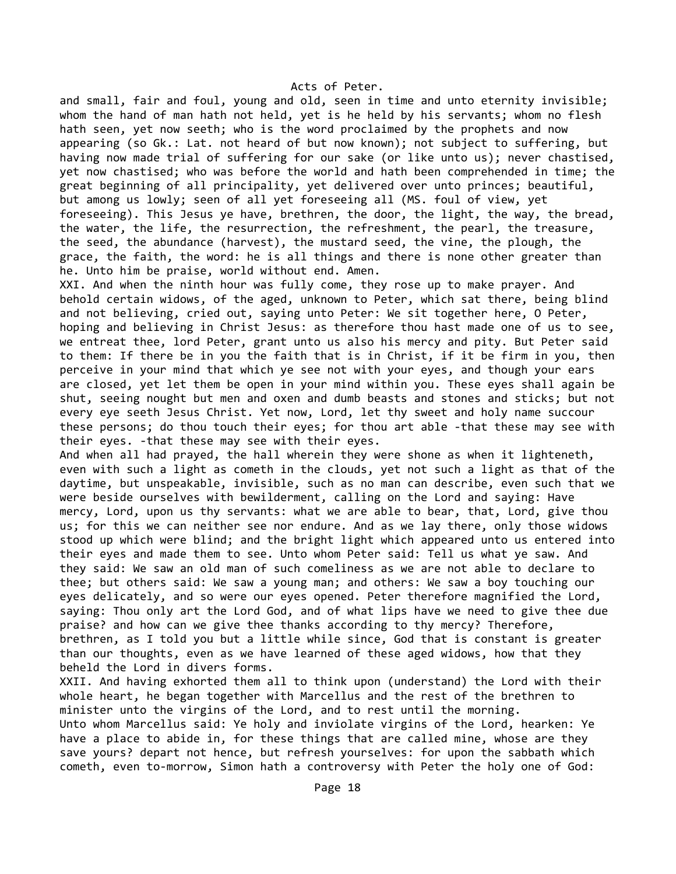and small, fair and foul, young and old, seen in time and unto eternity invisible; whom the hand of man hath not held, yet is he held by his servants; whom no flesh hath seen, yet now seeth; who is the word proclaimed by the prophets and now appearing (so Gk.: Lat. not heard of but now known); not subject to suffering, but having now made trial of suffering for our sake (or like unto us); never chastised, yet now chastised; who was before the world and hath been comprehended in time; the great beginning of all principality, yet delivered over unto princes; beautiful, but among us lowly; seen of all yet foreseeing all (MS. foul of view, yet foreseeing). This Jesus ye have, brethren, the door, the light, the way, the bread, the water, the life, the resurrection, the refreshment, the pearl, the treasure, the seed, the abundance (harvest), the mustard seed, the vine, the plough, the grace, the faith, the word: he is all things and there is none other greater than he. Unto him be praise, world without end. Amen.

XXI. And when the ninth hour was fully come, they rose up to make prayer. And behold certain widows, of the aged, unknown to Peter, which sat there, being blind and not believing, cried out, saying unto Peter: We sit together here, O Peter, hoping and believing in Christ Jesus: as therefore thou hast made one of us to see, we entreat thee, lord Peter, grant unto us also his mercy and pity. But Peter said to them: If there be in you the faith that is in Christ, if it be firm in you, then perceive in your mind that which ye see not with your eyes, and though your ears are closed, yet let them be open in your mind within you. These eyes shall again be shut, seeing nought but men and oxen and dumb beasts and stones and sticks; but not every eye seeth Jesus Christ. Yet now, Lord, let thy sweet and holy name succour these persons; do thou touch their eyes; for thou art able -that these may see with their eyes. -that these may see with their eyes.

And when all had prayed, the hall wherein they were shone as when it lighteneth, even with such a light as cometh in the clouds, yet not such a light as that of the daytime, but unspeakable, invisible, such as no man can describe, even such that we were beside ourselves with bewilderment, calling on the Lord and saying: Have mercy, Lord, upon us thy servants: what we are able to bear, that, Lord, give thou us; for this we can neither see nor endure. And as we lay there, only those widows stood up which were blind; and the bright light which appeared unto us entered into their eyes and made them to see. Unto whom Peter said: Tell us what ye saw. And they said: We saw an old man of such comeliness as we are not able to declare to thee; but others said: We saw a young man; and others: We saw a boy touching our eyes delicately, and so were our eyes opened. Peter therefore magnified the Lord, saying: Thou only art the Lord God, and of what lips have we need to give thee due praise? and how can we give thee thanks according to thy mercy? Therefore, brethren, as I told you but a little while since, God that is constant is greater than our thoughts, even as we have learned of these aged widows, how that they beheld the Lord in divers forms.

XXII. And having exhorted them all to think upon (understand) the Lord with their whole heart, he began together with Marcellus and the rest of the brethren to minister unto the virgins of the Lord, and to rest until the morning. Unto whom Marcellus said: Ye holy and inviolate virgins of the Lord, hearken: Ye have a place to abide in, for these things that are called mine, whose are they save yours? depart not hence, but refresh yourselves: for upon the sabbath which cometh, even to-morrow, Simon hath a controversy with Peter the holy one of God: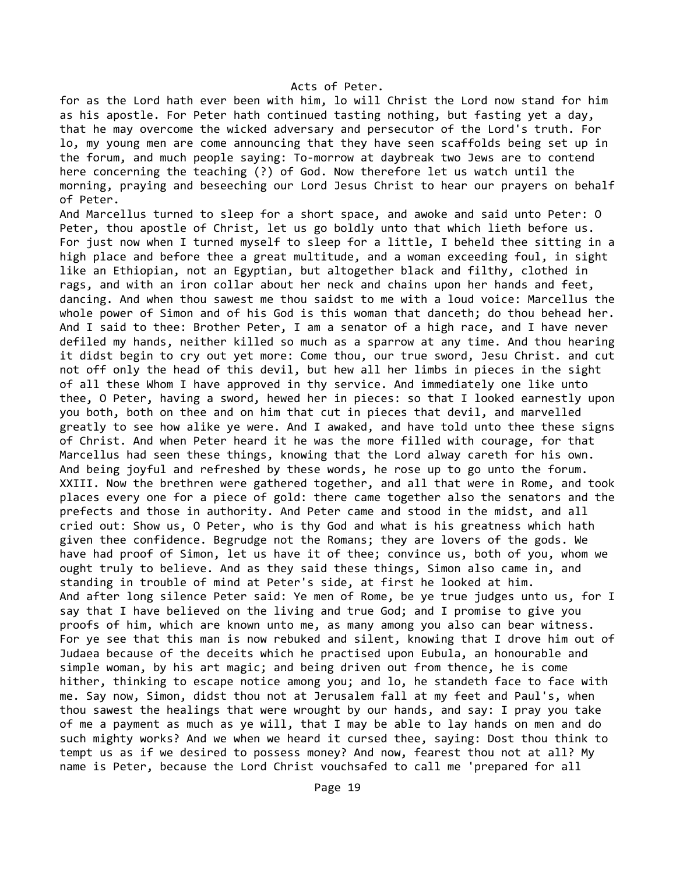for as the Lord hath ever been with him, lo will Christ the Lord now stand for him as his apostle. For Peter hath continued tasting nothing, but fasting yet a day, that he may overcome the wicked adversary and persecutor of the Lord's truth. For lo, my young men are come announcing that they have seen scaffolds being set up in the forum, and much people saying: To-morrow at daybreak two Jews are to contend here concerning the teaching (?) of God. Now therefore let us watch until the morning, praying and beseeching our Lord Jesus Christ to hear our prayers on behalf of Peter.

And Marcellus turned to sleep for a short space, and awoke and said unto Peter: O Peter, thou apostle of Christ, let us go boldly unto that which lieth before us. For just now when I turned myself to sleep for a little, I beheld thee sitting in a high place and before thee a great multitude, and a woman exceeding foul, in sight like an Ethiopian, not an Egyptian, but altogether black and filthy, clothed in rags, and with an iron collar about her neck and chains upon her hands and feet, dancing. And when thou sawest me thou saidst to me with a loud voice: Marcellus the whole power of Simon and of his God is this woman that danceth; do thou behead her. And I said to thee: Brother Peter, I am a senator of a high race, and I have never defiled my hands, neither killed so much as a sparrow at any time. And thou hearing it didst begin to cry out yet more: Come thou, our true sword, Jesu Christ. and cut not off only the head of this devil, but hew all her limbs in pieces in the sight of all these Whom I have approved in thy service. And immediately one like unto thee, O Peter, having a sword, hewed her in pieces: so that I looked earnestly upon you both, both on thee and on him that cut in pieces that devil, and marvelled greatly to see how alike ye were. And I awaked, and have told unto thee these signs of Christ. And when Peter heard it he was the more filled with courage, for that Marcellus had seen these things, knowing that the Lord alway careth for his own. And being joyful and refreshed by these words, he rose up to go unto the forum. XXIII. Now the brethren were gathered together, and all that were in Rome, and took places every one for a piece of gold: there came together also the senators and the prefects and those in authority. And Peter came and stood in the midst, and all cried out: Show us, O Peter, who is thy God and what is his greatness which hath given thee confidence. Begrudge not the Romans; they are lovers of the gods. We have had proof of Simon, let us have it of thee; convince us, both of you, whom we ought truly to believe. And as they said these things, Simon also came in, and standing in trouble of mind at Peter's side, at first he looked at him. And after long silence Peter said: Ye men of Rome, be ye true judges unto us, for I say that I have believed on the living and true God; and I promise to give you proofs of him, which are known unto me, as many among you also can bear witness. For ye see that this man is now rebuked and silent, knowing that I drove him out of Judaea because of the deceits which he practised upon Eubula, an honourable and simple woman, by his art magic; and being driven out from thence, he is come hither, thinking to escape notice among you; and lo, he standeth face to face with me. Say now, Simon, didst thou not at Jerusalem fall at my feet and Paul's, when thou sawest the healings that were wrought by our hands, and say: I pray you take of me a payment as much as ye will, that I may be able to lay hands on men and do such mighty works? And we when we heard it cursed thee, saying: Dost thou think to tempt us as if we desired to possess money? And now, fearest thou not at all? My name is Peter, because the Lord Christ vouchsafed to call me 'prepared for all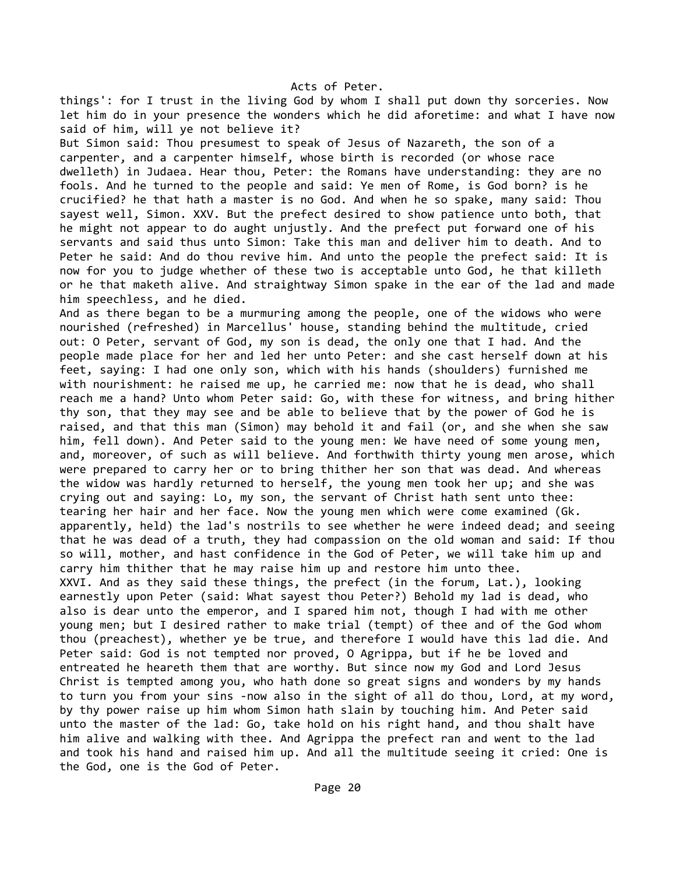things': for I trust in the living God by whom I shall put down thy sorceries. Now let him do in your presence the wonders which he did aforetime: and what I have now said of him, will ye not believe it?

But Simon said: Thou presumest to speak of Jesus of Nazareth, the son of a carpenter, and a carpenter himself, whose birth is recorded (or whose race dwelleth) in Judaea. Hear thou, Peter: the Romans have understanding: they are no fools. And he turned to the people and said: Ye men of Rome, is God born? is he crucified? he that hath a master is no God. And when he so spake, many said: Thou sayest well, Simon. XXV. But the prefect desired to show patience unto both, that he might not appear to do aught unjustly. And the prefect put forward one of his servants and said thus unto Simon: Take this man and deliver him to death. And to Peter he said: And do thou revive him. And unto the people the prefect said: It is now for you to judge whether of these two is acceptable unto God, he that killeth or he that maketh alive. And straightway Simon spake in the ear of the lad and made him speechless, and he died.

And as there began to be a murmuring among the people, one of the widows who were nourished (refreshed) in Marcellus' house, standing behind the multitude, cried out: O Peter, servant of God, my son is dead, the only one that I had. And the people made place for her and led her unto Peter: and she cast herself down at his feet, saying: I had one only son, which with his hands (shoulders) furnished me with nourishment: he raised me up, he carried me: now that he is dead, who shall reach me a hand? Unto whom Peter said: Go, with these for witness, and bring hither thy son, that they may see and be able to believe that by the power of God he is raised, and that this man (Simon) may behold it and fail (or, and she when she saw him, fell down). And Peter said to the young men: We have need of some young men, and, moreover, of such as will believe. And forthwith thirty young men arose, which were prepared to carry her or to bring thither her son that was dead. And whereas the widow was hardly returned to herself, the young men took her up; and she was crying out and saying: Lo, my son, the servant of Christ hath sent unto thee: tearing her hair and her face. Now the young men which were come examined (Gk. apparently, held) the lad's nostrils to see whether he were indeed dead; and seeing that he was dead of a truth, they had compassion on the old woman and said: If thou so will, mother, and hast confidence in the God of Peter, we will take him up and carry him thither that he may raise him up and restore him unto thee. XXVI. And as they said these things, the prefect (in the forum, Lat.), looking earnestly upon Peter (said: What sayest thou Peter?) Behold my lad is dead, who also is dear unto the emperor, and I spared him not, though I had with me other young men; but I desired rather to make trial (tempt) of thee and of the God whom thou (preachest), whether ye be true, and therefore I would have this lad die. And Peter said: God is not tempted nor proved, O Agrippa, but if he be loved and entreated he heareth them that are worthy. But since now my God and Lord Jesus Christ is tempted among you, who hath done so great signs and wonders by my hands to turn you from your sins -now also in the sight of all do thou, Lord, at my word, by thy power raise up him whom Simon hath slain by touching him. And Peter said unto the master of the lad: Go, take hold on his right hand, and thou shalt have him alive and walking with thee. And Agrippa the prefect ran and went to the lad and took his hand and raised him up. And all the multitude seeing it cried: One is the God, one is the God of Peter.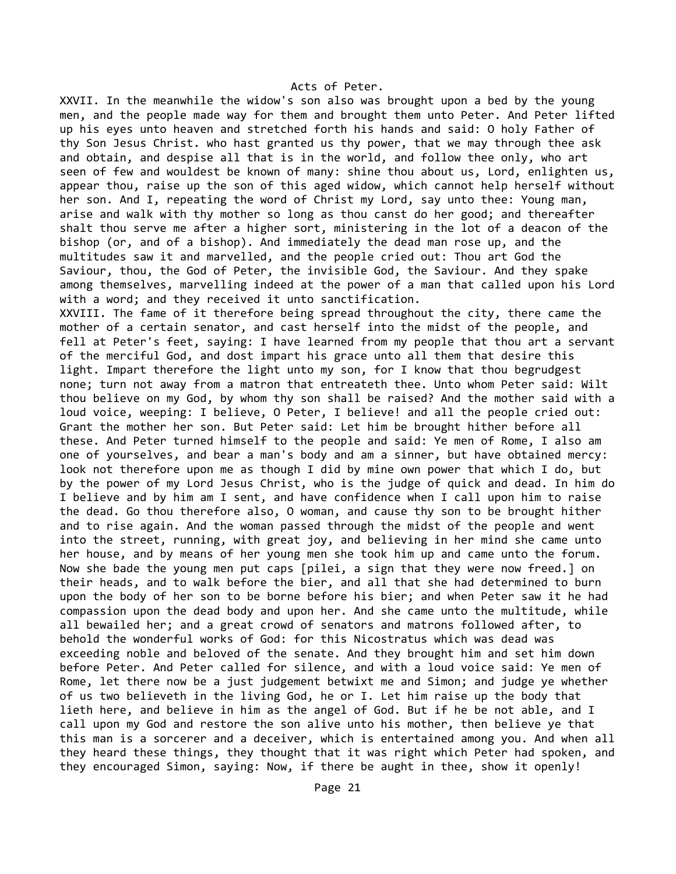XXVII. In the meanwhile the widow's son also was brought upon a bed by the young men, and the people made way for them and brought them unto Peter. And Peter lifted up his eyes unto heaven and stretched forth his hands and said: O holy Father of thy Son Jesus Christ. who hast granted us thy power, that we may through thee ask and obtain, and despise all that is in the world, and follow thee only, who art seen of few and wouldest be known of many: shine thou about us, Lord, enlighten us, appear thou, raise up the son of this aged widow, which cannot help herself without her son. And I, repeating the word of Christ my Lord, say unto thee: Young man, arise and walk with thy mother so long as thou canst do her good; and thereafter shalt thou serve me after a higher sort, ministering in the lot of a deacon of the bishop (or, and of a bishop). And immediately the dead man rose up, and the multitudes saw it and marvelled, and the people cried out: Thou art God the Saviour, thou, the God of Peter, the invisible God, the Saviour. And they spake among themselves, marvelling indeed at the power of a man that called upon his Lord with a word; and they received it unto sanctification.

XXVIII. The fame of it therefore being spread throughout the city, there came the mother of a certain senator, and cast herself into the midst of the people, and fell at Peter's feet, saying: I have learned from my people that thou art a servant of the merciful God, and dost impart his grace unto all them that desire this light. Impart therefore the light unto my son, for I know that thou begrudgest none; turn not away from a matron that entreateth thee. Unto whom Peter said: Wilt thou believe on my God, by whom thy son shall be raised? And the mother said with a loud voice, weeping: I believe, O Peter, I believe! and all the people cried out: Grant the mother her son. But Peter said: Let him be brought hither before all these. And Peter turned himself to the people and said: Ye men of Rome, I also am one of yourselves, and bear a man's body and am a sinner, but have obtained mercy: look not therefore upon me as though I did by mine own power that which I do, but by the power of my Lord Jesus Christ, who is the judge of quick and dead. In him do I believe and by him am I sent, and have confidence when I call upon him to raise the dead. Go thou therefore also, O woman, and cause thy son to be brought hither and to rise again. And the woman passed through the midst of the people and went into the street, running, with great joy, and believing in her mind she came unto her house, and by means of her young men she took him up and came unto the forum. Now she bade the young men put caps [pilei, a sign that they were now freed.] on their heads, and to walk before the bier, and all that she had determined to burn upon the body of her son to be borne before his bier; and when Peter saw it he had compassion upon the dead body and upon her. And she came unto the multitude, while all bewailed her; and a great crowd of senators and matrons followed after, to behold the wonderful works of God: for this Nicostratus which was dead was exceeding noble and beloved of the senate. And they brought him and set him down before Peter. And Peter called for silence, and with a loud voice said: Ye men of Rome, let there now be a just judgement betwixt me and Simon; and judge ye whether of us two believeth in the living God, he or I. Let him raise up the body that lieth here, and believe in him as the angel of God. But if he be not able, and I call upon my God and restore the son alive unto his mother, then believe ye that this man is a sorcerer and a deceiver, which is entertained among you. And when all they heard these things, they thought that it was right which Peter had spoken, and they encouraged Simon, saying: Now, if there be aught in thee, show it openly!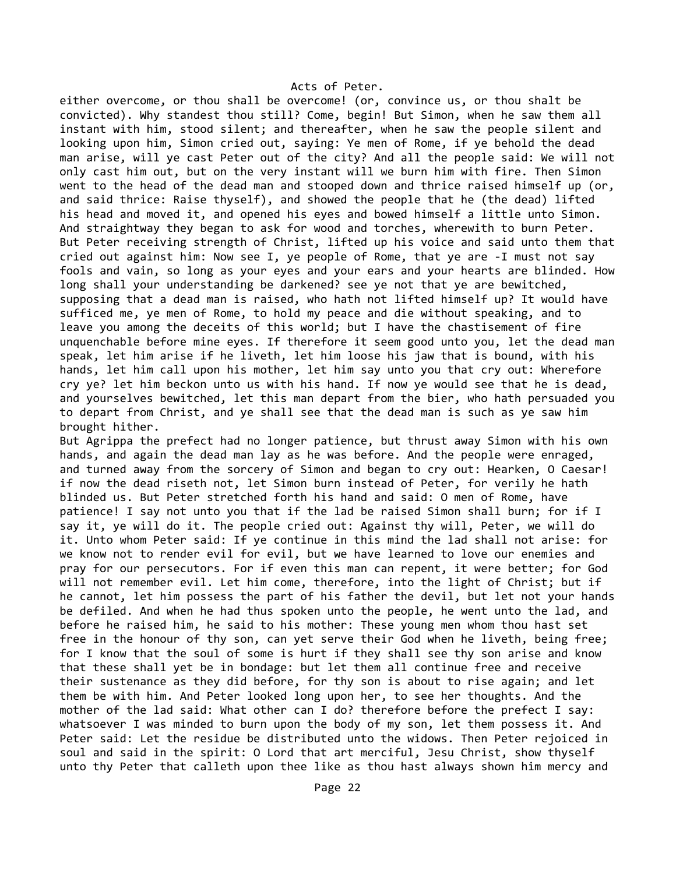either overcome, or thou shall be overcome! (or, convince us, or thou shalt be convicted). Why standest thou still? Come, begin! But Simon, when he saw them all instant with him, stood silent; and thereafter, when he saw the people silent and looking upon him, Simon cried out, saying: Ye men of Rome, if ye behold the dead man arise, will ye cast Peter out of the city? And all the people said: We will not only cast him out, but on the very instant will we burn him with fire. Then Simon went to the head of the dead man and stooped down and thrice raised himself up (or, and said thrice: Raise thyself), and showed the people that he (the dead) lifted his head and moved it, and opened his eyes and bowed himself a little unto Simon. And straightway they began to ask for wood and torches, wherewith to burn Peter. But Peter receiving strength of Christ, lifted up his voice and said unto them that cried out against him: Now see I, ye people of Rome, that ye are -I must not say fools and vain, so long as your eyes and your ears and your hearts are blinded. How long shall your understanding be darkened? see ye not that ye are bewitched, supposing that a dead man is raised, who hath not lifted himself up? It would have sufficed me, ye men of Rome, to hold my peace and die without speaking, and to leave you among the deceits of this world; but I have the chastisement of fire unquenchable before mine eyes. If therefore it seem good unto you, let the dead man speak, let him arise if he liveth, let him loose his jaw that is bound, with his hands, let him call upon his mother, let him say unto you that cry out: Wherefore cry ye? let him beckon unto us with his hand. If now ye would see that he is dead, and yourselves bewitched, let this man depart from the bier, who hath persuaded you to depart from Christ, and ye shall see that the dead man is such as ye saw him brought hither.

But Agrippa the prefect had no longer patience, but thrust away Simon with his own hands, and again the dead man lay as he was before. And the people were enraged, and turned away from the sorcery of Simon and began to cry out: Hearken, O Caesar! if now the dead riseth not, let Simon burn instead of Peter, for verily he hath blinded us. But Peter stretched forth his hand and said: O men of Rome, have patience! I say not unto you that if the lad be raised Simon shall burn; for if I say it, ye will do it. The people cried out: Against thy will, Peter, we will do it. Unto whom Peter said: If ye continue in this mind the lad shall not arise: for we know not to render evil for evil, but we have learned to love our enemies and pray for our persecutors. For if even this man can repent, it were better; for God will not remember evil. Let him come, therefore, into the light of Christ; but if he cannot, let him possess the part of his father the devil, but let not your hands be defiled. And when he had thus spoken unto the people, he went unto the lad, and before he raised him, he said to his mother: These young men whom thou hast set free in the honour of thy son, can yet serve their God when he liveth, being free; for I know that the soul of some is hurt if they shall see thy son arise and know that these shall yet be in bondage: but let them all continue free and receive their sustenance as they did before, for thy son is about to rise again; and let them be with him. And Peter looked long upon her, to see her thoughts. And the mother of the lad said: What other can I do? therefore before the prefect I say: whatsoever I was minded to burn upon the body of my son, let them possess it. And Peter said: Let the residue be distributed unto the widows. Then Peter rejoiced in soul and said in the spirit: O Lord that art merciful, Jesu Christ, show thyself unto thy Peter that calleth upon thee like as thou hast always shown him mercy and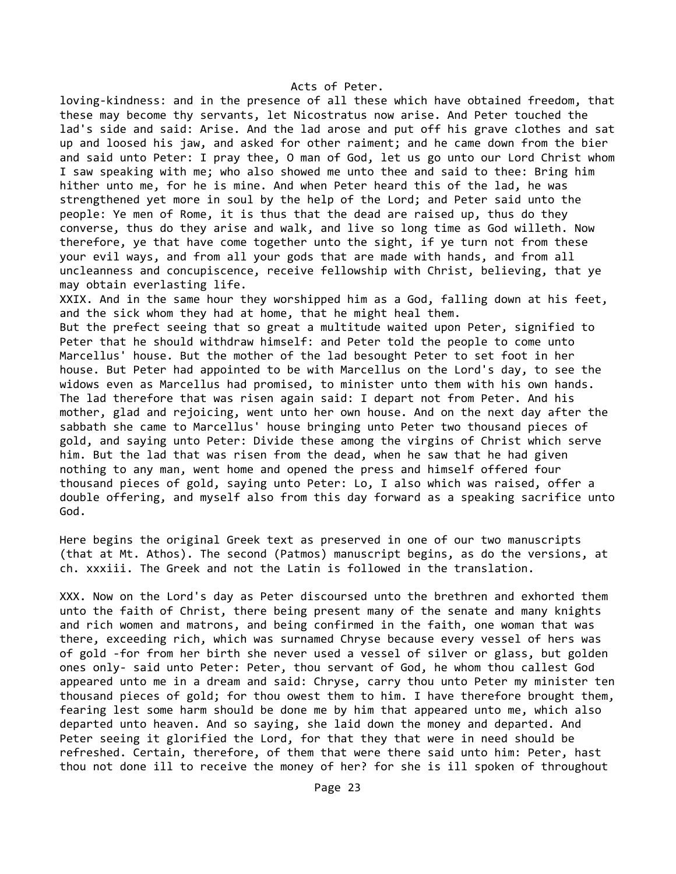loving-kindness: and in the presence of all these which have obtained freedom, that these may become thy servants, let Nicostratus now arise. And Peter touched the lad's side and said: Arise. And the lad arose and put off his grave clothes and sat up and loosed his jaw, and asked for other raiment; and he came down from the bier and said unto Peter: I pray thee, O man of God, let us go unto our Lord Christ whom I saw speaking with me; who also showed me unto thee and said to thee: Bring him hither unto me, for he is mine. And when Peter heard this of the lad, he was strengthened yet more in soul by the help of the Lord; and Peter said unto the people: Ye men of Rome, it is thus that the dead are raised up, thus do they converse, thus do they arise and walk, and live so long time as God willeth. Now therefore, ye that have come together unto the sight, if ye turn not from these your evil ways, and from all your gods that are made with hands, and from all uncleanness and concupiscence, receive fellowship with Christ, believing, that ye may obtain everlasting life. XXIX. And in the same hour they worshipped him as a God, falling down at his feet, and the sick whom they had at home, that he might heal them. But the prefect seeing that so great a multitude waited upon Peter, signified to

Peter that he should withdraw himself: and Peter told the people to come unto Marcellus' house. But the mother of the lad besought Peter to set foot in her house. But Peter had appointed to be with Marcellus on the Lord's day, to see the widows even as Marcellus had promised, to minister unto them with his own hands. The lad therefore that was risen again said: I depart not from Peter. And his mother, glad and rejoicing, went unto her own house. And on the next day after the sabbath she came to Marcellus' house bringing unto Peter two thousand pieces of gold, and saying unto Peter: Divide these among the virgins of Christ which serve him. But the lad that was risen from the dead, when he saw that he had given nothing to any man, went home and opened the press and himself offered four thousand pieces of gold, saying unto Peter: Lo, I also which was raised, offer a double offering, and myself also from this day forward as a speaking sacrifice unto God.

Here begins the original Greek text as preserved in one of our two manuscripts (that at Mt. Athos). The second (Patmos) manuscript begins, as do the versions, at ch. xxxiii. The Greek and not the Latin is followed in the translation.

XXX. Now on the Lord's day as Peter discoursed unto the brethren and exhorted them unto the faith of Christ, there being present many of the senate and many knights and rich women and matrons, and being confirmed in the faith, one woman that was there, exceeding rich, which was surnamed Chryse because every vessel of hers was of gold -for from her birth she never used a vessel of silver or glass, but golden ones only- said unto Peter: Peter, thou servant of God, he whom thou callest God appeared unto me in a dream and said: Chryse, carry thou unto Peter my minister ten thousand pieces of gold; for thou owest them to him. I have therefore brought them, fearing lest some harm should be done me by him that appeared unto me, which also departed unto heaven. And so saying, she laid down the money and departed. And Peter seeing it glorified the Lord, for that they that were in need should be refreshed. Certain, therefore, of them that were there said unto him: Peter, hast thou not done ill to receive the money of her? for she is ill spoken of throughout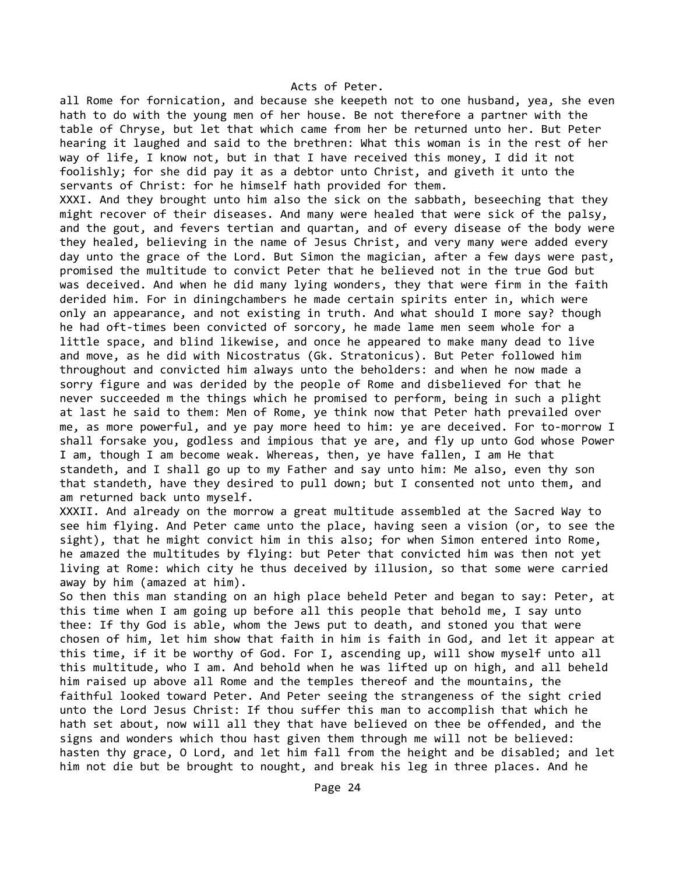all Rome for fornication, and because she keepeth not to one husband, yea, she even hath to do with the young men of her house. Be not therefore a partner with the table of Chryse, but let that which came from her be returned unto her. But Peter hearing it laughed and said to the brethren: What this woman is in the rest of her way of life, I know not, but in that I have received this money, I did it not foolishly; for she did pay it as a debtor unto Christ, and giveth it unto the servants of Christ: for he himself hath provided for them.

XXXI. And they brought unto him also the sick on the sabbath, beseeching that they might recover of their diseases. And many were healed that were sick of the palsy, and the gout, and fevers tertian and quartan, and of every disease of the body were they healed, believing in the name of Jesus Christ, and very many were added every day unto the grace of the Lord. But Simon the magician, after a few days were past, promised the multitude to convict Peter that he believed not in the true God but was deceived. And when he did many lying wonders, they that were firm in the faith derided him. For in diningchambers he made certain spirits enter in, which were only an appearance, and not existing in truth. And what should I more say? though he had oft-times been convicted of sorcory, he made lame men seem whole for a little space, and blind likewise, and once he appeared to make many dead to live and move, as he did with Nicostratus (Gk. Stratonicus). But Peter followed him throughout and convicted him always unto the beholders: and when he now made a sorry figure and was derided by the people of Rome and disbelieved for that he never succeeded m the things which he promised to perform, being in such a plight at last he said to them: Men of Rome, ye think now that Peter hath prevailed over me, as more powerful, and ye pay more heed to him: ye are deceived. For to-morrow I shall forsake you, godless and impious that ye are, and fly up unto God whose Power I am, though I am become weak. Whereas, then, ye have fallen, I am He that standeth, and I shall go up to my Father and say unto him: Me also, even thy son that standeth, have they desired to pull down; but I consented not unto them, and am returned back unto myself.

XXXII. And already on the morrow a great multitude assembled at the Sacred Way to see him flying. And Peter came unto the place, having seen a vision (or, to see the sight), that he might convict him in this also; for when Simon entered into Rome, he amazed the multitudes by flying: but Peter that convicted him was then not yet living at Rome: which city he thus deceived by illusion, so that some were carried away by him (amazed at him).

So then this man standing on an high place beheld Peter and began to say: Peter, at this time when I am going up before all this people that behold me, I say unto thee: If thy God is able, whom the Jews put to death, and stoned you that were chosen of him, let him show that faith in him is faith in God, and let it appear at this time, if it be worthy of God. For I, ascending up, will show myself unto all this multitude, who I am. And behold when he was lifted up on high, and all beheld him raised up above all Rome and the temples thereof and the mountains, the faithful looked toward Peter. And Peter seeing the strangeness of the sight cried unto the Lord Jesus Christ: If thou suffer this man to accomplish that which he hath set about, now will all they that have believed on thee be offended, and the signs and wonders which thou hast given them through me will not be believed: hasten thy grace, O Lord, and let him fall from the height and be disabled; and let him not die but be brought to nought, and break his leg in three places. And he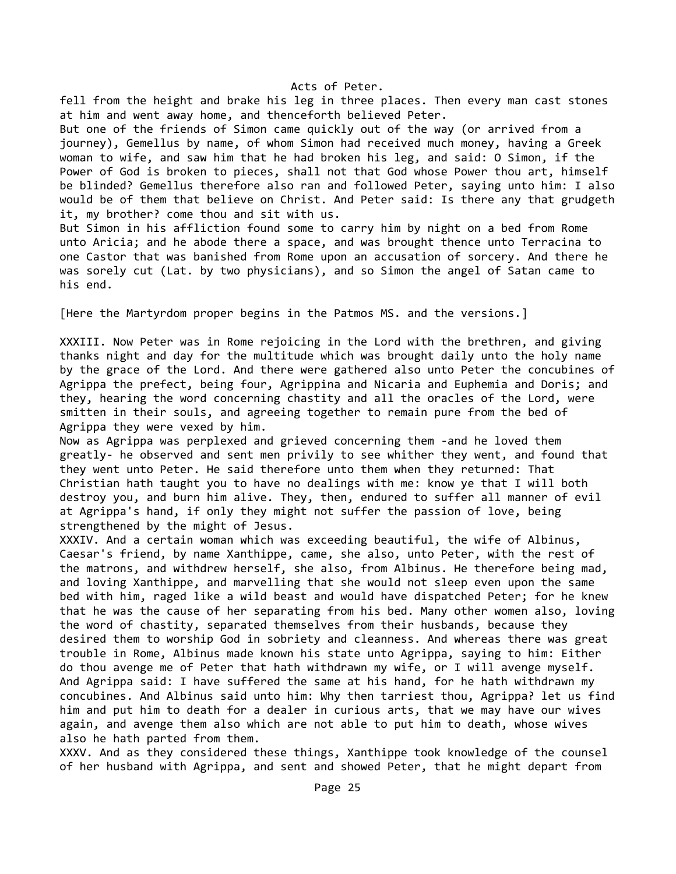fell from the height and brake his leg in three places. Then every man cast stones at him and went away home, and thenceforth believed Peter.

But one of the friends of Simon came quickly out of the way (or arrived from a journey), Gemellus by name, of whom Simon had received much money, having a Greek woman to wife, and saw him that he had broken his leg, and said: O Simon, if the Power of God is broken to pieces, shall not that God whose Power thou art, himself be blinded? Gemellus therefore also ran and followed Peter, saying unto him: I also would be of them that believe on Christ. And Peter said: Is there any that grudgeth it, my brother? come thou and sit with us.

But Simon in his affliction found some to carry him by night on a bed from Rome unto Aricia; and he abode there a space, and was brought thence unto Terracina to one Castor that was banished from Rome upon an accusation of sorcery. And there he was sorely cut (Lat. by two physicians), and so Simon the angel of Satan came to his end.

[Here the Martyrdom proper begins in the Patmos MS. and the versions.]

XXXIII. Now Peter was in Rome rejoicing in the Lord with the brethren, and giving thanks night and day for the multitude which was brought daily unto the holy name by the grace of the Lord. And there were gathered also unto Peter the concubines of Agrippa the prefect, being four, Agrippina and Nicaria and Euphemia and Doris; and they, hearing the word concerning chastity and all the oracles of the Lord, were smitten in their souls, and agreeing together to remain pure from the bed of Agrippa they were vexed by him.

Now as Agrippa was perplexed and grieved concerning them -and he loved them greatly- he observed and sent men privily to see whither they went, and found that they went unto Peter. He said therefore unto them when they returned: That Christian hath taught you to have no dealings with me: know ye that I will both destroy you, and burn him alive. They, then, endured to suffer all manner of evil at Agrippa's hand, if only they might not suffer the passion of love, being strengthened by the might of Jesus.

XXXIV. And a certain woman which was exceeding beautiful, the wife of Albinus, Caesar's friend, by name Xanthippe, came, she also, unto Peter, with the rest of the matrons, and withdrew herself, she also, from Albinus. He therefore being mad, and loving Xanthippe, and marvelling that she would not sleep even upon the same bed with him, raged like a wild beast and would have dispatched Peter; for he knew that he was the cause of her separating from his bed. Many other women also, loving the word of chastity, separated themselves from their husbands, because they desired them to worship God in sobriety and cleanness. And whereas there was great trouble in Rome, Albinus made known his state unto Agrippa, saying to him: Either do thou avenge me of Peter that hath withdrawn my wife, or I will avenge myself. And Agrippa said: I have suffered the same at his hand, for he hath withdrawn my concubines. And Albinus said unto him: Why then tarriest thou, Agrippa? let us find him and put him to death for a dealer in curious arts, that we may have our wives again, and avenge them also which are not able to put him to death, whose wives also he hath parted from them.

XXXV. And as they considered these things, Xanthippe took knowledge of the counsel of her husband with Agrippa, and sent and showed Peter, that he might depart from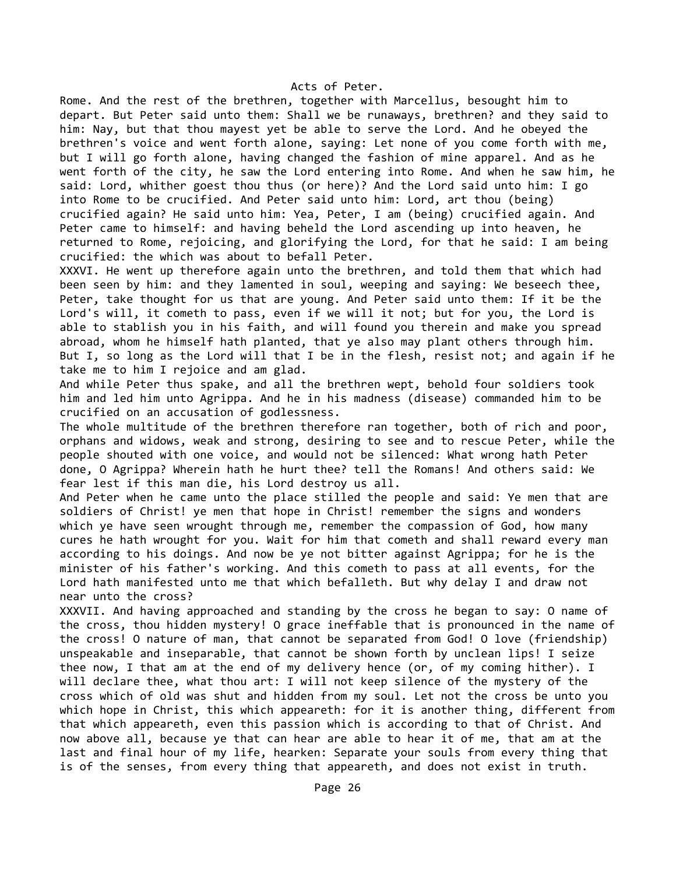Rome. And the rest of the brethren, together with Marcellus, besought him to depart. But Peter said unto them: Shall we be runaways, brethren? and they said to him: Nay, but that thou mayest yet be able to serve the Lord. And he obeyed the brethren's voice and went forth alone, saying: Let none of you come forth with me, but I will go forth alone, having changed the fashion of mine apparel. And as he went forth of the city, he saw the Lord entering into Rome. And when he saw him, he said: Lord, whither goest thou thus (or here)? And the Lord said unto him: I go into Rome to be crucified. And Peter said unto him: Lord, art thou (being) crucified again? He said unto him: Yea, Peter, I am (being) crucified again. And Peter came to himself: and having beheld the Lord ascending up into heaven, he returned to Rome, rejoicing, and glorifying the Lord, for that he said: I am being crucified: the which was about to befall Peter.

XXXVI. He went up therefore again unto the brethren, and told them that which had been seen by him: and they lamented in soul, weeping and saying: We beseech thee, Peter, take thought for us that are young. And Peter said unto them: If it be the Lord's will, it cometh to pass, even if we will it not; but for you, the Lord is able to stablish you in his faith, and will found you therein and make you spread abroad, whom he himself hath planted, that ye also may plant others through him. But I, so long as the Lord will that I be in the flesh, resist not; and again if he take me to him I rejoice and am glad.

And while Peter thus spake, and all the brethren wept, behold four soldiers took him and led him unto Agrippa. And he in his madness (disease) commanded him to be crucified on an accusation of godlessness.

The whole multitude of the brethren therefore ran together, both of rich and poor, orphans and widows, weak and strong, desiring to see and to rescue Peter, while the people shouted with one voice, and would not be silenced: What wrong hath Peter done, O Agrippa? Wherein hath he hurt thee? tell the Romans! And others said: We fear lest if this man die, his Lord destroy us all.

And Peter when he came unto the place stilled the people and said: Ye men that are soldiers of Christ! ye men that hope in Christ! remember the signs and wonders which ye have seen wrought through me, remember the compassion of God, how many cures he hath wrought for you. Wait for him that cometh and shall reward every man according to his doings. And now be ye not bitter against Agrippa; for he is the minister of his father's working. And this cometh to pass at all events, for the Lord hath manifested unto me that which befalleth. But why delay I and draw not near unto the cross?

XXXVII. And having approached and standing by the cross he began to say: O name of the cross, thou hidden mystery! O grace ineffable that is pronounced in the name of the cross! O nature of man, that cannot be separated from God! O love (friendship) unspeakable and inseparable, that cannot be shown forth by unclean lips! I seize thee now, I that am at the end of my delivery hence (or, of my coming hither). I will declare thee, what thou art: I will not keep silence of the mystery of the cross which of old was shut and hidden from my soul. Let not the cross be unto you which hope in Christ, this which appeareth: for it is another thing, different from that which appeareth, even this passion which is according to that of Christ. And now above all, because ye that can hear are able to hear it of me, that am at the last and final hour of my life, hearken: Separate your souls from every thing that is of the senses, from every thing that appeareth, and does not exist in truth.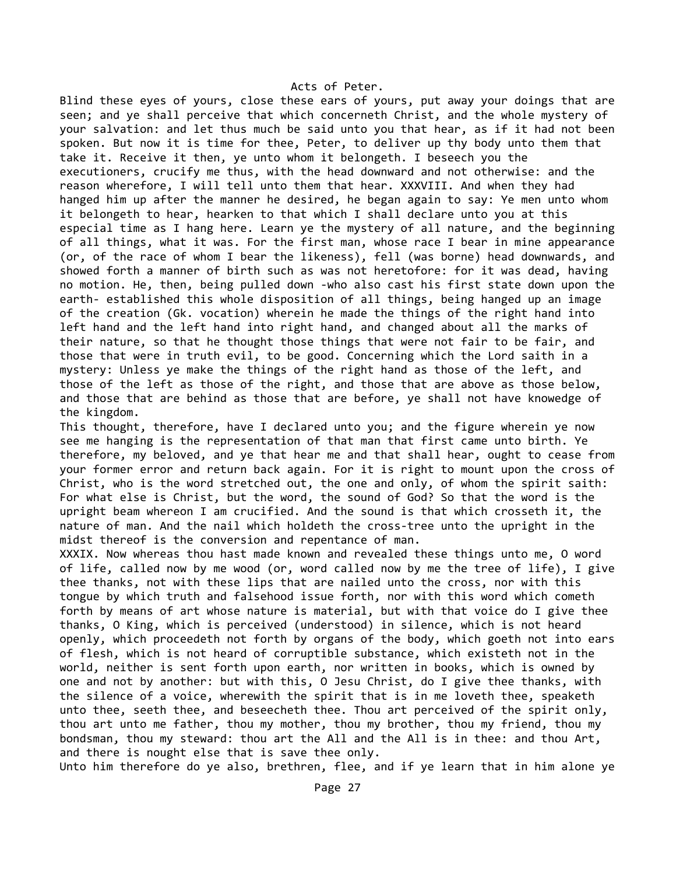Blind these eyes of yours, close these ears of yours, put away your doings that are seen; and ye shall perceive that which concerneth Christ, and the whole mystery of your salvation: and let thus much be said unto you that hear, as if it had not been spoken. But now it is time for thee, Peter, to deliver up thy body unto them that take it. Receive it then, ye unto whom it belongeth. I beseech you the executioners, crucify me thus, with the head downward and not otherwise: and the reason wherefore, I will tell unto them that hear. XXXVIII. And when they had hanged him up after the manner he desired, he began again to say: Ye men unto whom it belongeth to hear, hearken to that which I shall declare unto you at this especial time as I hang here. Learn ye the mystery of all nature, and the beginning of all things, what it was. For the first man, whose race I bear in mine appearance (or, of the race of whom I bear the likeness), fell (was borne) head downwards, and showed forth a manner of birth such as was not heretofore: for it was dead, having no motion. He, then, being pulled down -who also cast his first state down upon the earth- established this whole disposition of all things, being hanged up an image of the creation (Gk. vocation) wherein he made the things of the right hand into left hand and the left hand into right hand, and changed about all the marks of their nature, so that he thought those things that were not fair to be fair, and those that were in truth evil, to be good. Concerning which the Lord saith in a mystery: Unless ye make the things of the right hand as those of the left, and those of the left as those of the right, and those that are above as those below, and those that are behind as those that are before, ye shall not have knowedge of the kingdom.

This thought, therefore, have I declared unto you; and the figure wherein ye now see me hanging is the representation of that man that first came unto birth. Ye therefore, my beloved, and ye that hear me and that shall hear, ought to cease from your former error and return back again. For it is right to mount upon the cross of Christ, who is the word stretched out, the one and only, of whom the spirit saith: For what else is Christ, but the word, the sound of God? So that the word is the upright beam whereon I am crucified. And the sound is that which crosseth it, the nature of man. And the nail which holdeth the cross-tree unto the upright in the midst thereof is the conversion and repentance of man.

XXXIX. Now whereas thou hast made known and revealed these things unto me, O word of life, called now by me wood (or, word called now by me the tree of life), I give thee thanks, not with these lips that are nailed unto the cross, nor with this tongue by which truth and falsehood issue forth, nor with this word which cometh forth by means of art whose nature is material, but with that voice do I give thee thanks, O King, which is perceived (understood) in silence, which is not heard openly, which proceedeth not forth by organs of the body, which goeth not into ears of flesh, which is not heard of corruptible substance, which existeth not in the world, neither is sent forth upon earth, nor written in books, which is owned by one and not by another: but with this, O Jesu Christ, do I give thee thanks, with the silence of a voice, wherewith the spirit that is in me loveth thee, speaketh unto thee, seeth thee, and beseecheth thee. Thou art perceived of the spirit only, thou art unto me father, thou my mother, thou my brother, thou my friend, thou my bondsman, thou my steward: thou art the All and the All is in thee: and thou Art, and there is nought else that is save thee only.

Unto him therefore do ye also, brethren, flee, and if ye learn that in him alone ye